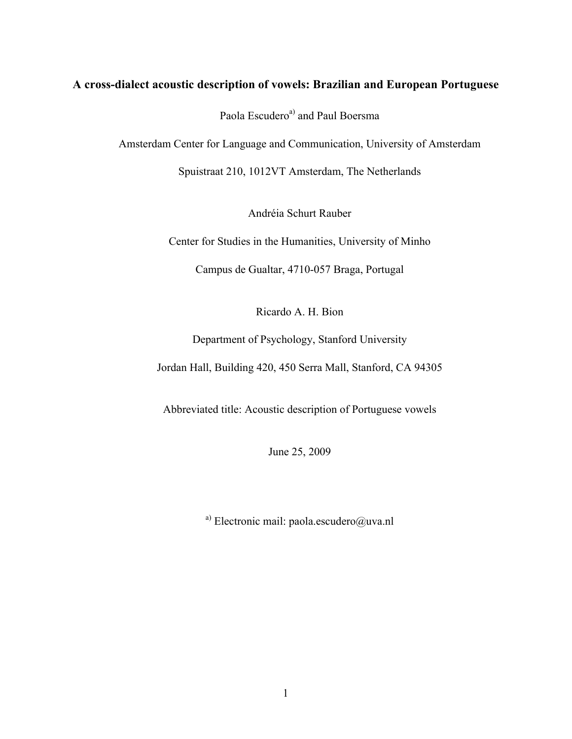# **A cross-dialect acoustic description of vowels: Brazilian and European Portuguese**

Paola Escudero<sup>a)</sup> and Paul Boersma

Amsterdam Center for Language and Communication, University of Amsterdam

Spuistraat 210, 1012VT Amsterdam, The Netherlands

Andréia Schurt Rauber

Center for Studies in the Humanities, University of Minho

Campus de Gualtar, 4710-057 Braga, Portugal

Ricardo A. H. Bion

Department of Psychology, Stanford University

Jordan Hall, Building 420, 450 Serra Mall, Stanford, CA 94305

Abbreviated title: Acoustic description of Portuguese vowels

June 25, 2009

a) Electronic mail: paola.escudero@uva.nl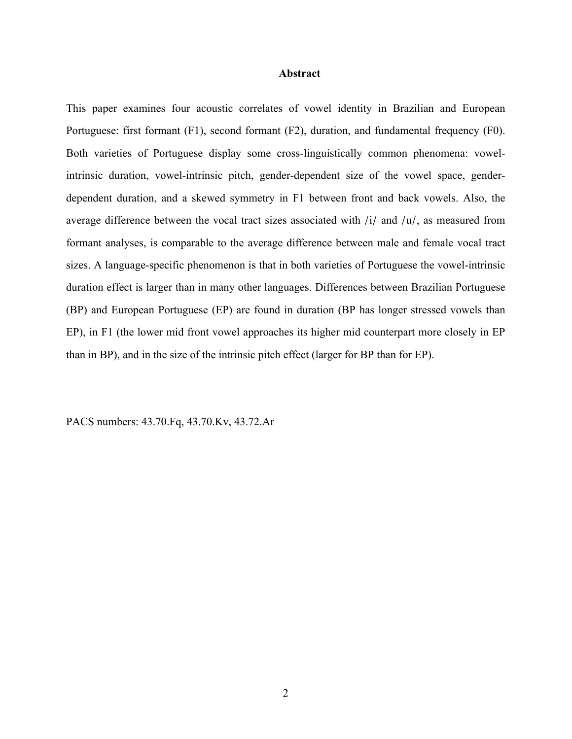#### **Abstract**

This paper examines four acoustic correlates of vowel identity in Brazilian and European Portuguese: first formant (F1), second formant (F2), duration, and fundamental frequency (F0). Both varieties of Portuguese display some cross-linguistically common phenomena: vowelintrinsic duration, vowel-intrinsic pitch, gender-dependent size of the vowel space, genderdependent duration, and a skewed symmetry in F1 between front and back vowels. Also, the average difference between the vocal tract sizes associated with /i/ and /u/, as measured from formant analyses, is comparable to the average difference between male and female vocal tract sizes. A language-specific phenomenon is that in both varieties of Portuguese the vowel-intrinsic duration effect is larger than in many other languages. Differences between Brazilian Portuguese (BP) and European Portuguese (EP) are found in duration (BP has longer stressed vowels than EP), in F1 (the lower mid front vowel approaches its higher mid counterpart more closely in EP than in BP), and in the size of the intrinsic pitch effect (larger for BP than for EP).

PACS numbers: 43.70.Fq, 43.70.Kv, 43.72.Ar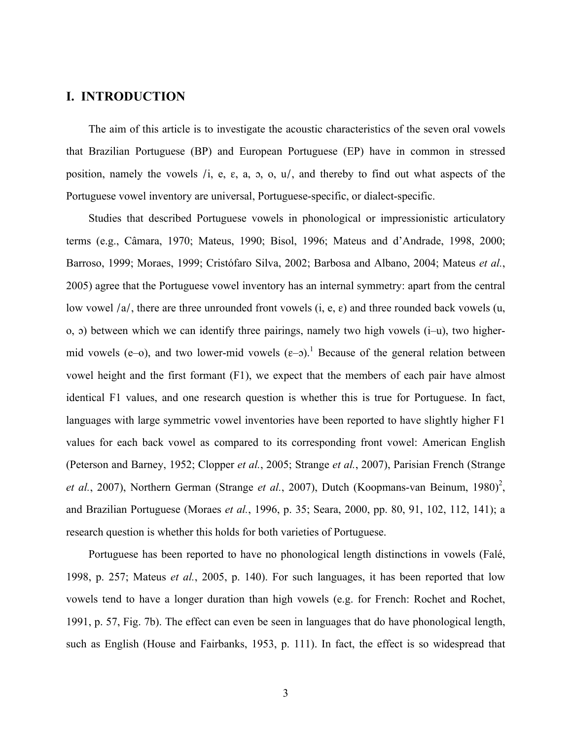## **I. INTRODUCTION**

The aim of this article is to investigate the acoustic characteristics of the seven oral vowels that Brazilian Portuguese (BP) and European Portuguese (EP) have in common in stressed position, namely the vowels /i, e, ɛ, a, ɔ, o, u/, and thereby to find out what aspects of the Portuguese vowel inventory are universal, Portuguese-specific, or dialect-specific.

Studies that described Portuguese vowels in phonological or impressionistic articulatory terms (e.g., Câmara, 1970; Mateus, 1990; Bisol, 1996; Mateus and d'Andrade, 1998, 2000; Barroso, 1999; Moraes, 1999; Cristófaro Silva, 2002; Barbosa and Albano, 2004; Mateus *et al.*, 2005) agree that the Portuguese vowel inventory has an internal symmetry: apart from the central low vowel  $\langle a \rangle$ , there are three unrounded front vowels (i, e,  $\varepsilon$ ) and three rounded back vowels (u, o,  $\sigma$ ) between which we can identify three pairings, namely two high vowels (i–u), two highermid vowels (e–o), and two lower-mid vowels  $(e-0)$ .<sup>1</sup> Because of the general relation between vowel height and the first formant (F1), we expect that the members of each pair have almost identical F1 values, and one research question is whether this is true for Portuguese. In fact, languages with large symmetric vowel inventories have been reported to have slightly higher F1 values for each back vowel as compared to its corresponding front vowel: American English (Peterson and Barney, 1952; Clopper *et al.*, 2005; Strange *et al.*, 2007), Parisian French (Strange et al., 2007), Northern German (Strange et al., 2007), Dutch (Koopmans-van Beinum, 1980)<sup>2</sup>, and Brazilian Portuguese (Moraes *et al.*, 1996, p. 35; Seara, 2000, pp. 80, 91, 102, 112, 141); a research question is whether this holds for both varieties of Portuguese.

Portuguese has been reported to have no phonological length distinctions in vowels (Falé, 1998, p. 257; Mateus *et al.*, 2005, p. 140). For such languages, it has been reported that low vowels tend to have a longer duration than high vowels (e.g. for French: Rochet and Rochet, 1991, p. 57, Fig. 7b). The effect can even be seen in languages that do have phonological length, such as English (House and Fairbanks, 1953, p. 111). In fact, the effect is so widespread that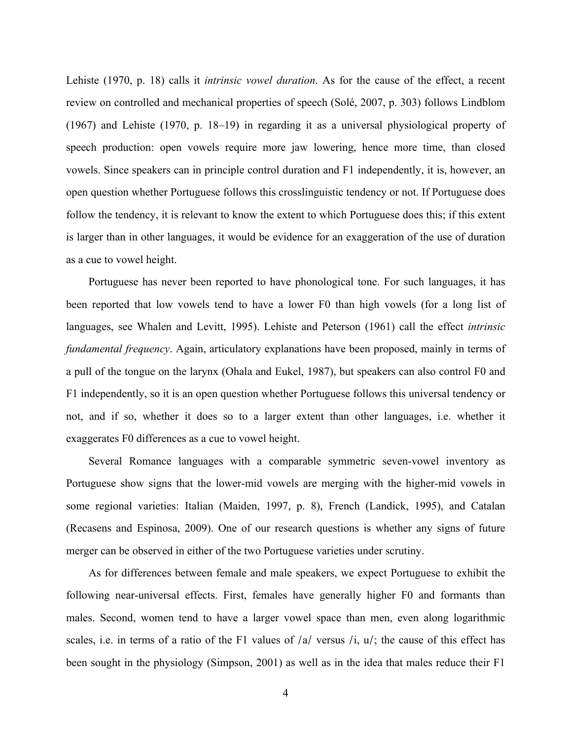Lehiste (1970, p. 18) calls it *intrinsic vowel duration*. As for the cause of the effect, a recent review on controlled and mechanical properties of speech (Solé, 2007, p. 303) follows Lindblom (1967) and Lehiste (1970, p. 18–19) in regarding it as a universal physiological property of speech production: open vowels require more jaw lowering, hence more time, than closed vowels. Since speakers can in principle control duration and F1 independently, it is, however, an open question whether Portuguese follows this crosslinguistic tendency or not. If Portuguese does follow the tendency, it is relevant to know the extent to which Portuguese does this; if this extent is larger than in other languages, it would be evidence for an exaggeration of the use of duration as a cue to vowel height.

Portuguese has never been reported to have phonological tone. For such languages, it has been reported that low vowels tend to have a lower F0 than high vowels (for a long list of languages, see Whalen and Levitt, 1995). Lehiste and Peterson (1961) call the effect *intrinsic fundamental frequency*. Again, articulatory explanations have been proposed, mainly in terms of a pull of the tongue on the larynx (Ohala and Eukel, 1987), but speakers can also control F0 and F1 independently, so it is an open question whether Portuguese follows this universal tendency or not, and if so, whether it does so to a larger extent than other languages, i.e. whether it exaggerates F0 differences as a cue to vowel height.

Several Romance languages with a comparable symmetric seven-vowel inventory as Portuguese show signs that the lower-mid vowels are merging with the higher-mid vowels in some regional varieties: Italian (Maiden, 1997, p. 8), French (Landick, 1995), and Catalan (Recasens and Espinosa, 2009). One of our research questions is whether any signs of future merger can be observed in either of the two Portuguese varieties under scrutiny.

As for differences between female and male speakers, we expect Portuguese to exhibit the following near-universal effects. First, females have generally higher F0 and formants than males. Second, women tend to have a larger vowel space than men, even along logarithmic scales, i.e. in terms of a ratio of the F1 values of /a/ versus /i, u/; the cause of this effect has been sought in the physiology (Simpson, 2001) as well as in the idea that males reduce their F1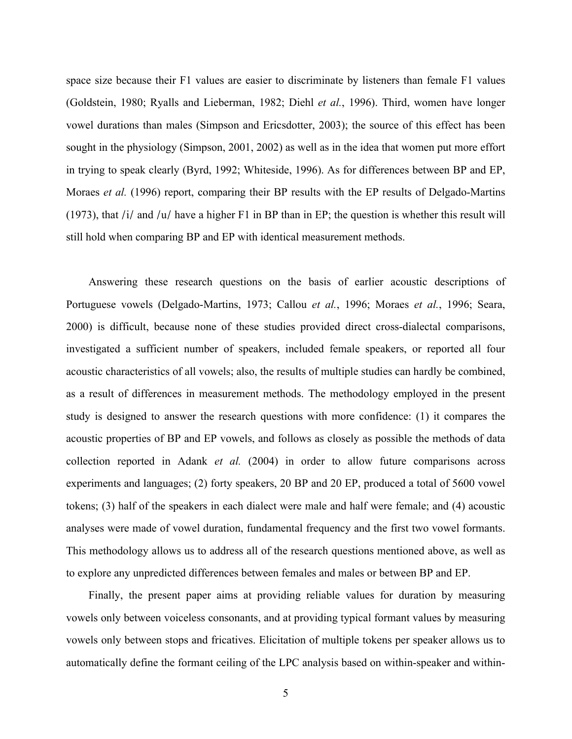space size because their F1 values are easier to discriminate by listeners than female F1 values (Goldstein, 1980; Ryalls and Lieberman, 1982; Diehl *et al.*, 1996). Third, women have longer vowel durations than males (Simpson and Ericsdotter, 2003); the source of this effect has been sought in the physiology (Simpson, 2001, 2002) as well as in the idea that women put more effort in trying to speak clearly (Byrd, 1992; Whiteside, 1996). As for differences between BP and EP, Moraes *et al.* (1996) report, comparing their BP results with the EP results of Delgado-Martins (1973), that /i/ and /u/ have a higher F1 in BP than in EP; the question is whether this result will still hold when comparing BP and EP with identical measurement methods.

Answering these research questions on the basis of earlier acoustic descriptions of Portuguese vowels (Delgado-Martins, 1973; Callou *et al.*, 1996; Moraes *et al.*, 1996; Seara, 2000) is difficult, because none of these studies provided direct cross-dialectal comparisons, investigated a sufficient number of speakers, included female speakers, or reported all four acoustic characteristics of all vowels; also, the results of multiple studies can hardly be combined, as a result of differences in measurement methods. The methodology employed in the present study is designed to answer the research questions with more confidence: (1) it compares the acoustic properties of BP and EP vowels, and follows as closely as possible the methods of data collection reported in Adank *et al.* (2004) in order to allow future comparisons across experiments and languages; (2) forty speakers, 20 BP and 20 EP, produced a total of 5600 vowel tokens; (3) half of the speakers in each dialect were male and half were female; and (4) acoustic analyses were made of vowel duration, fundamental frequency and the first two vowel formants. This methodology allows us to address all of the research questions mentioned above, as well as to explore any unpredicted differences between females and males or between BP and EP.

Finally, the present paper aims at providing reliable values for duration by measuring vowels only between voiceless consonants, and at providing typical formant values by measuring vowels only between stops and fricatives. Elicitation of multiple tokens per speaker allows us to automatically define the formant ceiling of the LPC analysis based on within-speaker and within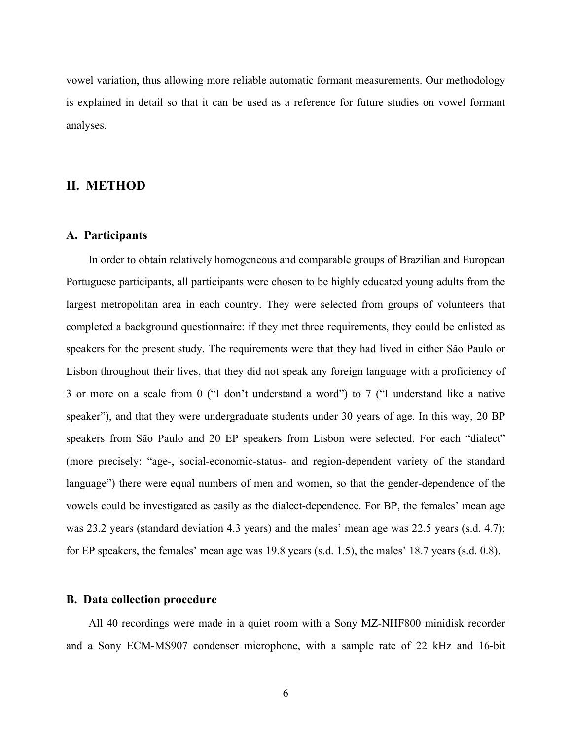vowel variation, thus allowing more reliable automatic formant measurements. Our methodology is explained in detail so that it can be used as a reference for future studies on vowel formant analyses.

## **II. METHOD**

## **A. Participants**

In order to obtain relatively homogeneous and comparable groups of Brazilian and European Portuguese participants, all participants were chosen to be highly educated young adults from the largest metropolitan area in each country. They were selected from groups of volunteers that completed a background questionnaire: if they met three requirements, they could be enlisted as speakers for the present study. The requirements were that they had lived in either São Paulo or Lisbon throughout their lives, that they did not speak any foreign language with a proficiency of 3 or more on a scale from 0 ("I don't understand a word") to 7 ("I understand like a native speaker"), and that they were undergraduate students under 30 years of age. In this way, 20 BP speakers from São Paulo and 20 EP speakers from Lisbon were selected. For each "dialect" (more precisely: "age-, social-economic-status- and region-dependent variety of the standard language") there were equal numbers of men and women, so that the gender-dependence of the vowels could be investigated as easily as the dialect-dependence. For BP, the females' mean age was 23.2 years (standard deviation 4.3 years) and the males' mean age was 22.5 years (s.d. 4.7); for EP speakers, the females' mean age was 19.8 years (s.d. 1.5), the males' 18.7 years (s.d. 0.8).

## **B. Data collection procedure**

All 40 recordings were made in a quiet room with a Sony MZ-NHF800 minidisk recorder and a Sony ECM-MS907 condenser microphone, with a sample rate of 22 kHz and 16-bit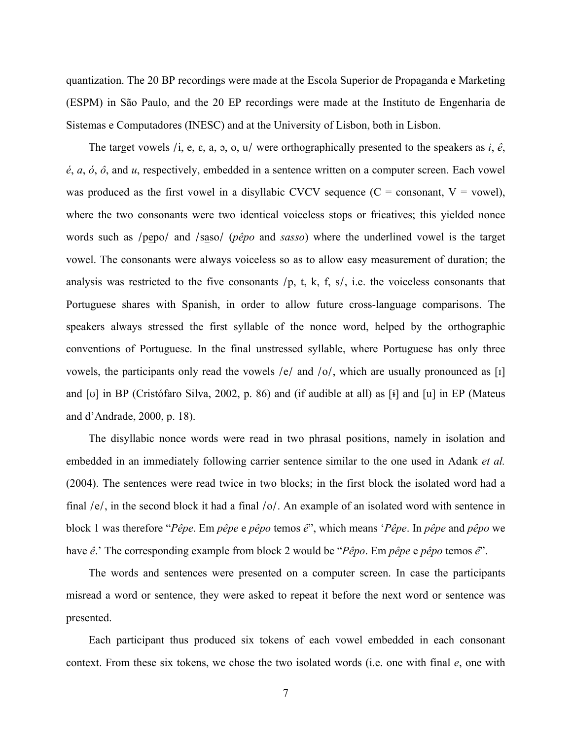quantization. The 20 BP recordings were made at the Escola Superior de Propaganda e Marketing (ESPM) in São Paulo, and the 20 EP recordings were made at the Instituto de Engenharia de Sistemas e Computadores (INESC) and at the University of Lisbon, both in Lisbon.

The target vowels /i, e,  $\varepsilon$ ,  $a$ ,  $b$ ,  $c$ ,  $u$ / were orthographically presented to the speakers as *i*,  $\hat{e}$ , *é*, *a*, *ó*, *ô*, and *u*, respectively, embedded in a sentence written on a computer screen. Each vowel was produced as the first vowel in a disyllabic CVCV sequence  $(C = constant, V = vowel)$ , where the two consonants were two identical voiceless stops or fricatives; this yielded nonce words such as /pepo/ and /saso/ (*pêpo* and *sasso*) where the underlined vowel is the target vowel. The consonants were always voiceless so as to allow easy measurement of duration; the analysis was restricted to the five consonants  $/p$ , t, k, f, s $/$ , i.e. the voiceless consonants that Portuguese shares with Spanish, in order to allow future cross-language comparisons. The speakers always stressed the first syllable of the nonce word, helped by the orthographic conventions of Portuguese. In the final unstressed syllable, where Portuguese has only three vowels, the participants only read the vowels /e/ and /o/, which are usually pronounced as [ɪ] and [ʊ] in BP (Cristófaro Silva, 2002, p. 86) and (if audible at all) as [ɨ] and [u] in EP (Mateus and d'Andrade, 2000, p. 18).

The disyllabic nonce words were read in two phrasal positions, namely in isolation and embedded in an immediately following carrier sentence similar to the one used in Adank *et al.* (2004). The sentences were read twice in two blocks; in the first block the isolated word had a final /e/, in the second block it had a final /o/. An example of an isolated word with sentence in block 1 was therefore "*Pêpe*. Em *pêpe* e *pêpo* temos *ê*", which means '*Pêpe*. In *pêpe* and *pêpo* we have *ê*.' The corresponding example from block 2 would be "*Pêpo*. Em *pêpe* e *pêpo* temos *ê*".

The words and sentences were presented on a computer screen. In case the participants misread a word or sentence, they were asked to repeat it before the next word or sentence was presented.

Each participant thus produced six tokens of each vowel embedded in each consonant context. From these six tokens, we chose the two isolated words (i.e. one with final *e*, one with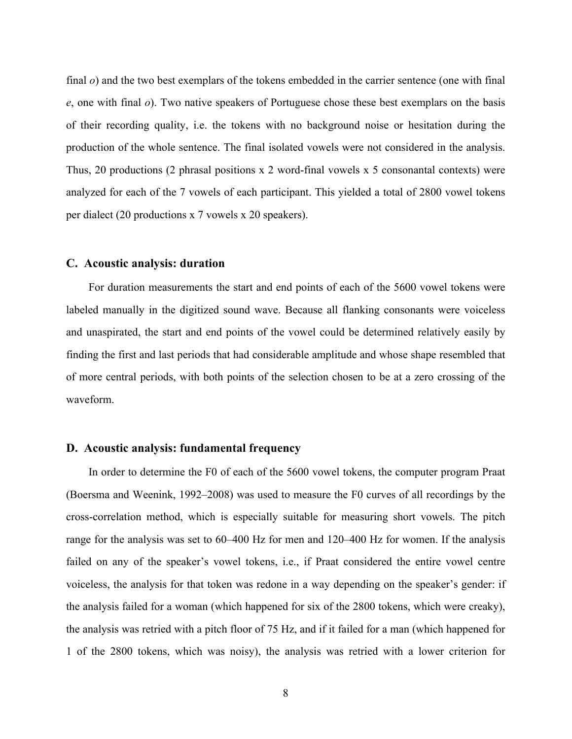final *o*) and the two best exemplars of the tokens embedded in the carrier sentence (one with final *e*, one with final *o*). Two native speakers of Portuguese chose these best exemplars on the basis of their recording quality, i.e. the tokens with no background noise or hesitation during the production of the whole sentence. The final isolated vowels were not considered in the analysis. Thus, 20 productions (2 phrasal positions x 2 word-final vowels x 5 consonantal contexts) were analyzed for each of the 7 vowels of each participant. This yielded a total of 2800 vowel tokens per dialect (20 productions x 7 vowels x 20 speakers).

## **C. Acoustic analysis: duration**

For duration measurements the start and end points of each of the 5600 vowel tokens were labeled manually in the digitized sound wave. Because all flanking consonants were voiceless and unaspirated, the start and end points of the vowel could be determined relatively easily by finding the first and last periods that had considerable amplitude and whose shape resembled that of more central periods, with both points of the selection chosen to be at a zero crossing of the waveform.

## **D. Acoustic analysis: fundamental frequency**

In order to determine the F0 of each of the 5600 vowel tokens, the computer program Praat (Boersma and Weenink, 1992–2008) was used to measure the F0 curves of all recordings by the cross-correlation method, which is especially suitable for measuring short vowels. The pitch range for the analysis was set to 60–400 Hz for men and 120–400 Hz for women. If the analysis failed on any of the speaker's vowel tokens, i.e., if Praat considered the entire vowel centre voiceless, the analysis for that token was redone in a way depending on the speaker's gender: if the analysis failed for a woman (which happened for six of the 2800 tokens, which were creaky), the analysis was retried with a pitch floor of 75 Hz, and if it failed for a man (which happened for 1 of the 2800 tokens, which was noisy), the analysis was retried with a lower criterion for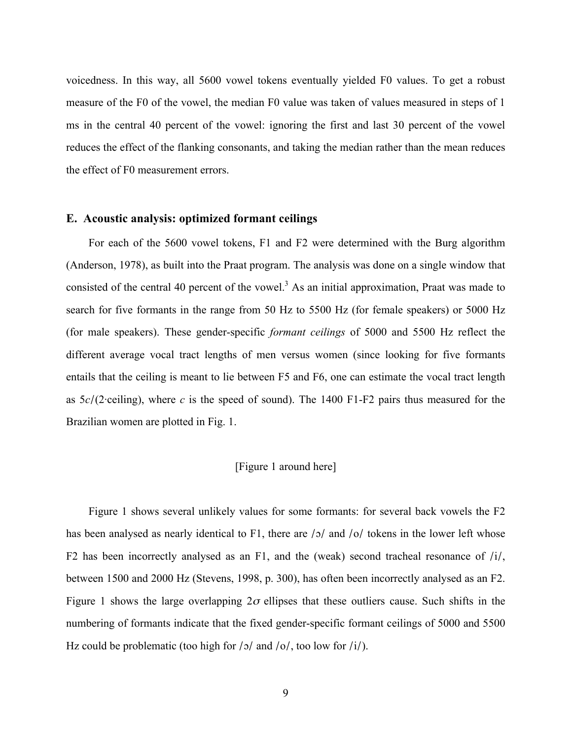voicedness. In this way, all 5600 vowel tokens eventually yielded F0 values. To get a robust measure of the F0 of the vowel, the median F0 value was taken of values measured in steps of 1 ms in the central 40 percent of the vowel: ignoring the first and last 30 percent of the vowel reduces the effect of the flanking consonants, and taking the median rather than the mean reduces the effect of F0 measurement errors.

## **E. Acoustic analysis: optimized formant ceilings**

For each of the 5600 vowel tokens, F1 and F2 were determined with the Burg algorithm (Anderson, 1978), as built into the Praat program. The analysis was done on a single window that consisted of the central 40 percent of the vowel.<sup>3</sup> As an initial approximation, Praat was made to search for five formants in the range from 50 Hz to 5500 Hz (for female speakers) or 5000 Hz (for male speakers). These gender-specific *formant ceilings* of 5000 and 5500 Hz reflect the different average vocal tract lengths of men versus women (since looking for five formants entails that the ceiling is meant to lie between F5 and F6, one can estimate the vocal tract length as 5*c*/(2·ceiling), where *c* is the speed of sound). The 1400 F1-F2 pairs thus measured for the Brazilian women are plotted in Fig. 1.

## [Figure 1 around here]

Figure 1 shows several unlikely values for some formants: for several back vowels the F2 has been analysed as nearly identical to F1, there are  $|o|$  and  $|o|$  tokens in the lower left whose F2 has been incorrectly analysed as an F1, and the (weak) second tracheal resonance of /i/, between 1500 and 2000 Hz (Stevens, 1998, p. 300), has often been incorrectly analysed as an F2. Figure 1 shows the large overlapping  $2\sigma$  ellipses that these outliers cause. Such shifts in the numbering of formants indicate that the fixed gender-specific formant ceilings of 5000 and 5500 Hz could be problematic (too high for  $/2$  and  $/0$ , too low for  $/1$ ).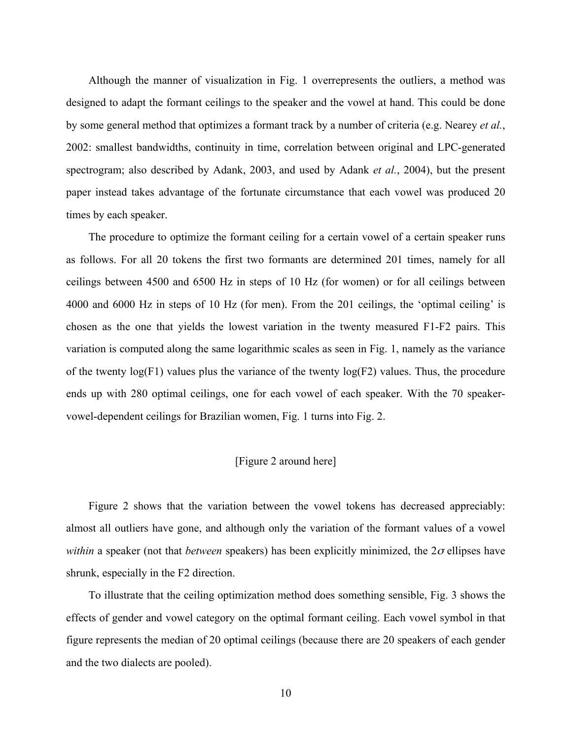Although the manner of visualization in Fig. 1 overrepresents the outliers, a method was designed to adapt the formant ceilings to the speaker and the vowel at hand. This could be done by some general method that optimizes a formant track by a number of criteria (e.g. Nearey *et al.*, 2002: smallest bandwidths, continuity in time, correlation between original and LPC-generated spectrogram; also described by Adank, 2003, and used by Adank *et al.*, 2004), but the present paper instead takes advantage of the fortunate circumstance that each vowel was produced 20 times by each speaker.

The procedure to optimize the formant ceiling for a certain vowel of a certain speaker runs as follows. For all 20 tokens the first two formants are determined 201 times, namely for all ceilings between 4500 and 6500 Hz in steps of 10 Hz (for women) or for all ceilings between 4000 and 6000 Hz in steps of 10 Hz (for men). From the 201 ceilings, the 'optimal ceiling' is chosen as the one that yields the lowest variation in the twenty measured F1-F2 pairs. This variation is computed along the same logarithmic scales as seen in Fig. 1, namely as the variance of the twenty  $log(F1)$  values plus the variance of the twenty  $log(F2)$  values. Thus, the procedure ends up with 280 optimal ceilings, one for each vowel of each speaker. With the 70 speakervowel-dependent ceilings for Brazilian women, Fig. 1 turns into Fig. 2.

## [Figure 2 around here]

Figure 2 shows that the variation between the vowel tokens has decreased appreciably: almost all outliers have gone, and although only the variation of the formant values of a vowel *within* a speaker (not that *between* speakers) has been explicitly minimized, the 2σ ellipses have shrunk, especially in the F2 direction.

To illustrate that the ceiling optimization method does something sensible, Fig. 3 shows the effects of gender and vowel category on the optimal formant ceiling. Each vowel symbol in that figure represents the median of 20 optimal ceilings (because there are 20 speakers of each gender and the two dialects are pooled).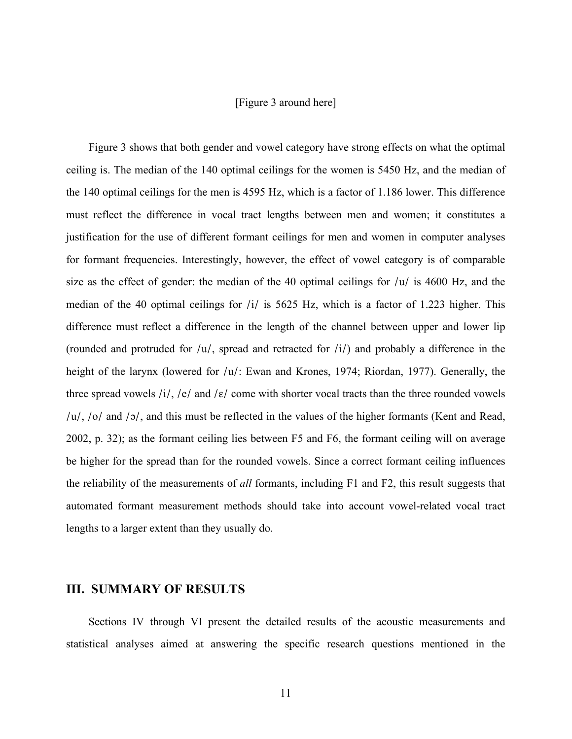## [Figure 3 around here]

Figure 3 shows that both gender and vowel category have strong effects on what the optimal ceiling is. The median of the 140 optimal ceilings for the women is 5450 Hz, and the median of the 140 optimal ceilings for the men is 4595 Hz, which is a factor of 1.186 lower. This difference must reflect the difference in vocal tract lengths between men and women; it constitutes a justification for the use of different formant ceilings for men and women in computer analyses for formant frequencies. Interestingly, however, the effect of vowel category is of comparable size as the effect of gender: the median of the 40 optimal ceilings for /u/ is 4600 Hz, and the median of the 40 optimal ceilings for /i/ is 5625 Hz, which is a factor of 1.223 higher. This difference must reflect a difference in the length of the channel between upper and lower lip (rounded and protruded for /u/, spread and retracted for /i/) and probably a difference in the height of the larynx (lowered for /u/: Ewan and Krones, 1974; Riordan, 1977). Generally, the three spread vowels  $/i$ ,  $/e$  and  $/e$  come with shorter vocal tracts than the three rounded vowels /u/, /o/ and /ɔ/, and this must be reflected in the values of the higher formants (Kent and Read, 2002, p. 32); as the formant ceiling lies between F5 and F6, the formant ceiling will on average be higher for the spread than for the rounded vowels. Since a correct formant ceiling influences the reliability of the measurements of *all* formants, including F1 and F2, this result suggests that automated formant measurement methods should take into account vowel-related vocal tract lengths to a larger extent than they usually do.

## **III. SUMMARY OF RESULTS**

Sections IV through VI present the detailed results of the acoustic measurements and statistical analyses aimed at answering the specific research questions mentioned in the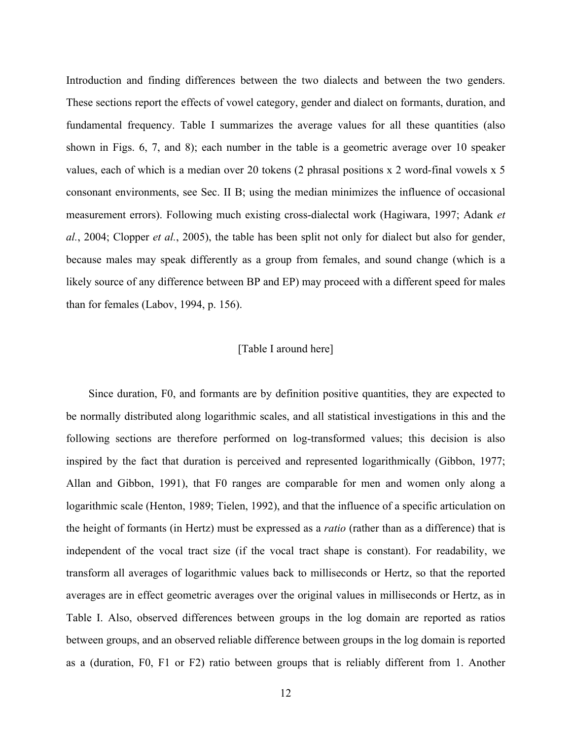Introduction and finding differences between the two dialects and between the two genders. These sections report the effects of vowel category, gender and dialect on formants, duration, and fundamental frequency. Table I summarizes the average values for all these quantities (also shown in Figs. 6, 7, and 8); each number in the table is a geometric average over 10 speaker values, each of which is a median over 20 tokens (2 phrasal positions x 2 word-final vowels x 5 consonant environments, see Sec. II B; using the median minimizes the influence of occasional measurement errors). Following much existing cross-dialectal work (Hagiwara, 1997; Adank *et al.*, 2004; Clopper *et al.*, 2005), the table has been split not only for dialect but also for gender, because males may speak differently as a group from females, and sound change (which is a likely source of any difference between BP and EP) may proceed with a different speed for males than for females (Labov, 1994, p. 156).

## [Table I around here]

Since duration, F0, and formants are by definition positive quantities, they are expected to be normally distributed along logarithmic scales, and all statistical investigations in this and the following sections are therefore performed on log-transformed values; this decision is also inspired by the fact that duration is perceived and represented logarithmically (Gibbon, 1977; Allan and Gibbon, 1991), that F0 ranges are comparable for men and women only along a logarithmic scale (Henton, 1989; Tielen, 1992), and that the influence of a specific articulation on the height of formants (in Hertz) must be expressed as a *ratio* (rather than as a difference) that is independent of the vocal tract size (if the vocal tract shape is constant). For readability, we transform all averages of logarithmic values back to milliseconds or Hertz, so that the reported averages are in effect geometric averages over the original values in milliseconds or Hertz, as in Table I. Also, observed differences between groups in the log domain are reported as ratios between groups, and an observed reliable difference between groups in the log domain is reported as a (duration, F0, F1 or F2) ratio between groups that is reliably different from 1. Another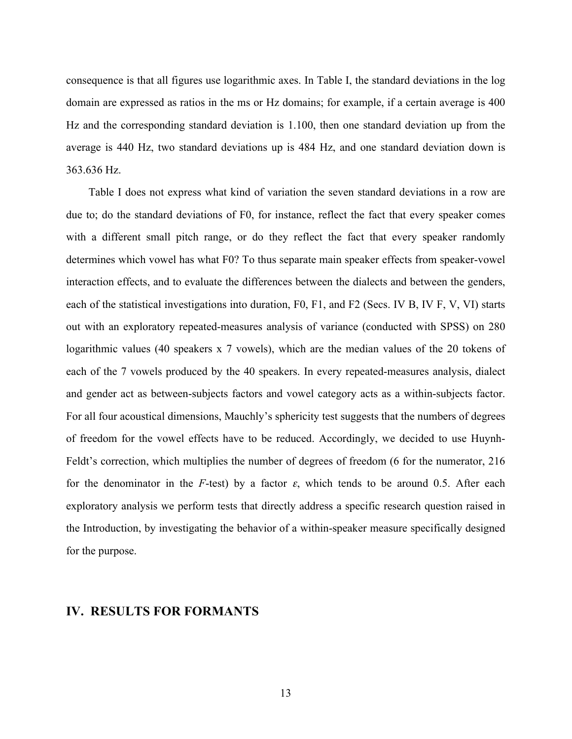consequence is that all figures use logarithmic axes. In Table I, the standard deviations in the log domain are expressed as ratios in the ms or Hz domains; for example, if a certain average is 400 Hz and the corresponding standard deviation is 1.100, then one standard deviation up from the average is 440 Hz, two standard deviations up is 484 Hz, and one standard deviation down is 363.636 Hz.

Table I does not express what kind of variation the seven standard deviations in a row are due to; do the standard deviations of F0, for instance, reflect the fact that every speaker comes with a different small pitch range, or do they reflect the fact that every speaker randomly determines which vowel has what F0? To thus separate main speaker effects from speaker-vowel interaction effects, and to evaluate the differences between the dialects and between the genders, each of the statistical investigations into duration, F0, F1, and F2 (Secs. IV B, IV F, V, VI) starts out with an exploratory repeated-measures analysis of variance (conducted with SPSS) on 280 logarithmic values (40 speakers x 7 vowels), which are the median values of the 20 tokens of each of the 7 vowels produced by the 40 speakers. In every repeated-measures analysis, dialect and gender act as between-subjects factors and vowel category acts as a within-subjects factor. For all four acoustical dimensions, Mauchly's sphericity test suggests that the numbers of degrees of freedom for the vowel effects have to be reduced. Accordingly, we decided to use Huynh-Feldt's correction, which multiplies the number of degrees of freedom (6 for the numerator, 216 for the denominator in the *F*-test) by a factor  $\varepsilon$ , which tends to be around 0.5. After each exploratory analysis we perform tests that directly address a specific research question raised in the Introduction, by investigating the behavior of a within-speaker measure specifically designed for the purpose.

## **IV. RESULTS FOR FORMANTS**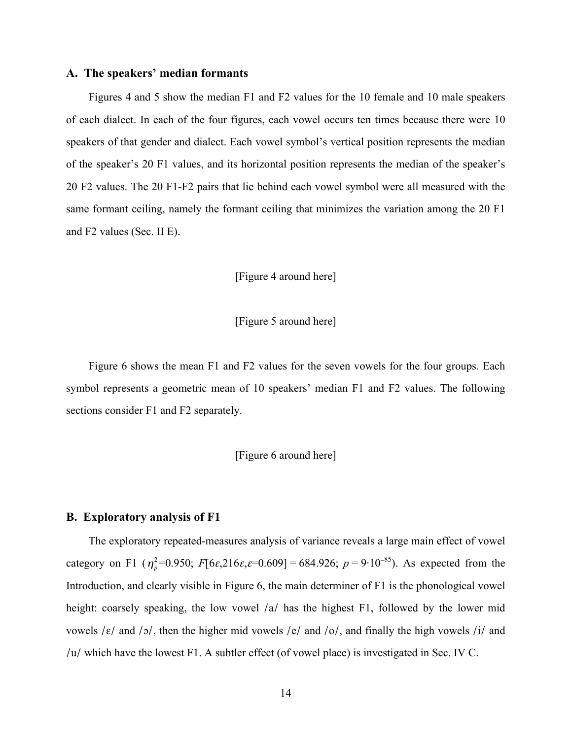#### **A. The speakers' median formants**

Figures 4 and 5 show the median F1 and F2 values for the 10 female and 10 male speakers of each dialect. In each of the four figures, each vowel occurs ten times because there were 10 speakers of that gender and dialect. Each vowel symbol's vertical position represents the median of the speaker's 20 F1 values, and its horizontal position represents the median of the speaker's 20 F2 values. The 20 F1-F2 pairs that lie behind each vowel symbol were all measured with the same formant ceiling, namely the formant ceiling that minimizes the variation among the 20 F1 and F2 values (Sec. II E).

[Figure 4 around here]

[Figure 5 around here]

Figure 6 shows the mean F1 and F2 values for the seven vowels for the four groups. Each symbol represents a geometric mean of 10 speakers' median F1 and F2 values. The following sections consider F1 and F2 separately.

[Figure 6 around here]

#### **B. Exploratory analysis of F1**

The exploratory repeated-measures analysis of variance reveals a large main effect of vowel category on F1 ( $\eta_p^2$ =0.950; *F*[6*ε*,216*ε*,*ε*=0.609] = 684.926; *p* = 9·10<sup>-85</sup>). As expected from the height: coarsely speaking, the low vowel /a/ has the highest F1, followed by the lower mid Introduction, and clearly visible in Figure 6, the main determiner of F1 is the phonological vowel vowels /ɛ/ and /ɔ/, then the higher mid vowels /e/ and /o/, and finally the high vowels /i/ and /u/ which have the lowest F1. A subtler effect (of vowel place) is investigated in Sec. IV C.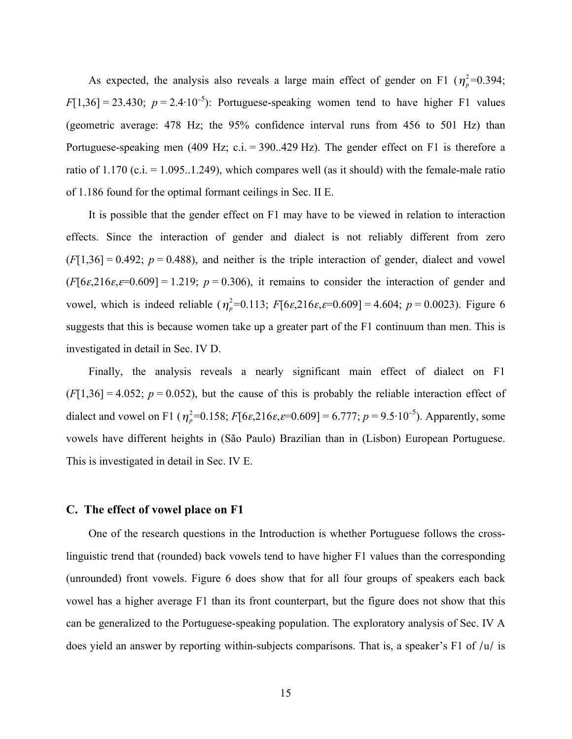As expected, the analysis also reveals a large main effect of gender on F1 ( $\eta_p^2$ =0.394; (geometric average: 478 Hz; the 95% confidence interval runs from 456 to 501 Hz) than  $F[1,36] = 23.430$ ;  $p = 2.4 \cdot 10^{-5}$ ): Portuguese-speaking women tend to have higher F1 values Portuguese-speaking men (409 Hz; c.i. = 390..429 Hz). The gender effect on F1 is therefore a ratio of  $1.170$  (c.i.  $= 1.095$ ...1.249), which compares well (as it should) with the female-male ratio of 1.186 found for the optimal formant ceilings in Sec. II E.

It is possible that the gender effect on F1 may have to be viewed in relation to interaction effects. Since the interaction of gender and dialect is not reliably different from zero  $(F[1,36] = 0.492$ ;  $p = 0.488$ ), and neither is the triple interaction of gender, dialect and vowel  $(F[6\varepsilon, 216\varepsilon, \varepsilon=0.609] = 1.219$ ;  $p = 0.306$ ), it remains to consider the interaction of gender and vowel, which is indeed reliable ( $\eta_p^2$ =0.113;  $F[6\varepsilon, 216\varepsilon, \varepsilon=0.609] = 4.604$ ;  $p = 0.0023$ ). Figure 6 € investigated in detail in Sec. IV D. suggests that this is because women take up a greater part of the F1 continuum than men. This is

Finally, the analysis reveals a nearly significant main effect of dialect on F1  $(F[1,36] = 4.052; p = 0.052)$ , but the cause of this is probably the reliable interaction effect of dialect and vowel on F1 ( $\eta_p^2$ =0.158; *F*[6*ε*,216*ε*,*ε*=0.609] = 6.777; *p* = 9.5·10<sup>-5</sup>). Apparently, some This is investigated in detail in Sec. IV E. vowels have different heights in (São Paulo) Brazilian than in (Lisbon) European Portuguese.

#### **C. The effect of vowel place on F1**

One of the research questions in the Introduction is whether Portuguese follows the crosslinguistic trend that (rounded) back vowels tend to have higher F1 values than the corresponding (unrounded) front vowels. Figure 6 does show that for all four groups of speakers each back vowel has a higher average F1 than its front counterpart, but the figure does not show that this can be generalized to the Portuguese-speaking population. The exploratory analysis of Sec. IV A does yield an answer by reporting within-subjects comparisons. That is, a speaker's F1 of /u/ is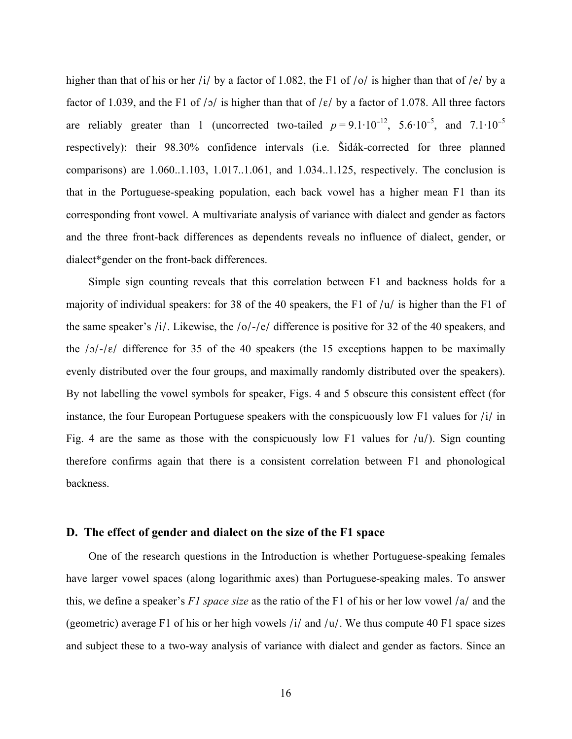higher than that of his or her /i/ by a factor of 1.082, the F1 of /o/ is higher than that of /e/ by a factor of 1.039, and the F1 of  $/2/$  is higher than that of  $/\varepsilon$  by a factor of 1.078. All three factors are reliably greater than 1 (uncorrected two-tailed  $p = 9.1 \cdot 10^{-12}$ , 5.6 $\cdot 10^{-5}$ , and 7.1 $\cdot 10^{-5}$ respectively): their 98.30% confidence intervals (i.e. Šidák-corrected for three planned comparisons) are  $1.060...1.103$ ,  $1.017...1.061$ , and  $1.034...1.125$ , respectively. The conclusion is that in the Portuguese-speaking population, each back vowel has a higher mean F1 than its corresponding front vowel. A multivariate analysis of variance with dialect and gender as factors and the three front-back differences as dependents reveals no influence of dialect, gender, or dialect\*gender on the front-back differences.

Simple sign counting reveals that this correlation between F1 and backness holds for a majority of individual speakers: for 38 of the 40 speakers, the F1 of /u/ is higher than the F1 of the same speaker's /i/. Likewise, the /o/-/e/ difference is positive for 32 of the 40 speakers, and the  $|o|$ -/ $\varepsilon$ / difference for 35 of the 40 speakers (the 15 exceptions happen to be maximally evenly distributed over the four groups, and maximally randomly distributed over the speakers). By not labelling the vowel symbols for speaker, Figs. 4 and 5 obscure this consistent effect (for instance, the four European Portuguese speakers with the conspicuously low F1 values for /i/ in Fig. 4 are the same as those with the conspicuously low F1 values for  $|u|$ ). Sign counting therefore confirms again that there is a consistent correlation between F1 and phonological backness.

## **D. The effect of gender and dialect on the size of the F1 space**

One of the research questions in the Introduction is whether Portuguese-speaking females have larger vowel spaces (along logarithmic axes) than Portuguese-speaking males. To answer this, we define a speaker's *F1 space size* as the ratio of the F1 of his or her low vowel /a/ and the (geometric) average F1 of his or her high vowels /i/ and /u/. We thus compute 40 F1 space sizes and subject these to a two-way analysis of variance with dialect and gender as factors. Since an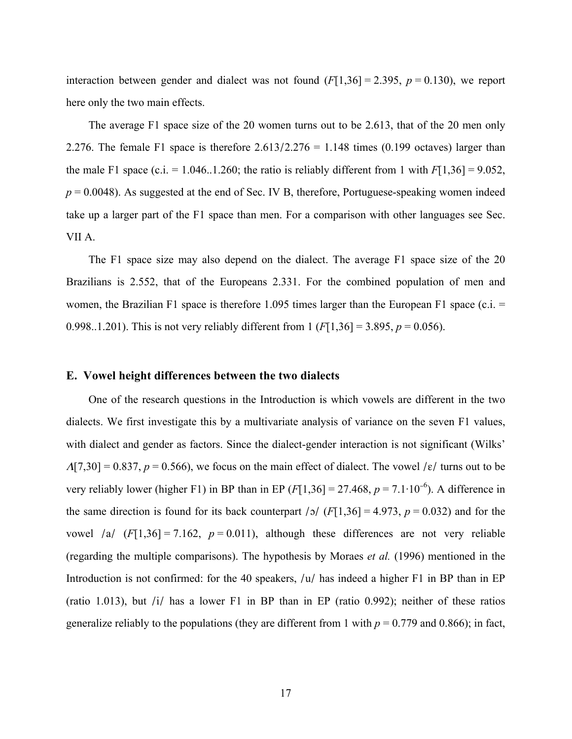interaction between gender and dialect was not found  $(F[1,36] = 2.395, p = 0.130)$ , we report here only the two main effects.

The average F1 space size of the 20 women turns out to be 2.613, that of the 20 men only 2.276. The female F1 space is therefore  $2.613/2.276 = 1.148$  times (0.199 octaves) larger than the male F1 space (c.i.  $= 1.046...1.260$ ; the ratio is reliably different from 1 with  $F[1,36] = 9.052$ ,  $p = 0.0048$ ). As suggested at the end of Sec. IV B, therefore, Portuguese-speaking women indeed take up a larger part of the F1 space than men. For a comparison with other languages see Sec. VII A.

The F1 space size may also depend on the dialect. The average F1 space size of the 20 Brazilians is 2.552, that of the Europeans 2.331. For the combined population of men and women, the Brazilian F1 space is therefore 1.095 times larger than the European F1 space (c.i.  $=$ 0.998..1.201). This is not very reliably different from 1 (*F*[1,36] = 3.895, *p* = 0.056).

## **E. Vowel height differences between the two dialects**

One of the research questions in the Introduction is which vowels are different in the two dialects. We first investigate this by a multivariate analysis of variance on the seven F1 values, with dialect and gender as factors. Since the dialect-gender interaction is not significant (Wilks'  $\Lambda$ [7,30] = 0.837,  $p = 0.566$ ), we focus on the main effect of dialect. The vowel /ɛ/ turns out to be very reliably lower (higher F1) in BP than in EP ( $F[1,36] = 27.468$ ,  $p = 7.1 \cdot 10^{-6}$ ). A difference in the same direction is found for its back counterpart  $|o|$  ( $F[1,36] = 4.973$ ,  $p = 0.032$ ) and for the vowel /a/  $(F[1,36] = 7.162$ ,  $p = 0.011$ ), although these differences are not very reliable (regarding the multiple comparisons). The hypothesis by Moraes *et al.* (1996) mentioned in the Introduction is not confirmed: for the 40 speakers, /u/ has indeed a higher F1 in BP than in EP (ratio 1.013), but /i/ has a lower F1 in BP than in EP (ratio 0.992); neither of these ratios generalize reliably to the populations (they are different from 1 with  $p = 0.779$  and 0.866); in fact,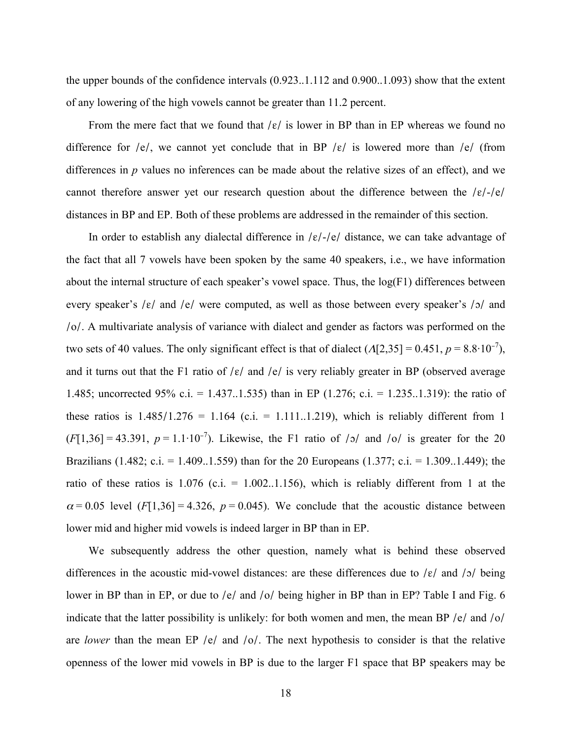the upper bounds of the confidence intervals (0.923..1.112 and 0.900..1.093) show that the extent of any lowering of the high vowels cannot be greater than 11.2 percent.

From the mere fact that we found that  $\ell \epsilon /$  is lower in BP than in EP whereas we found no difference for /e/, we cannot yet conclude that in BP / $\varepsilon$ / is lowered more than /e/ (from differences in *p* values no inferences can be made about the relative sizes of an effect), and we cannot therefore answer yet our research question about the difference between the  $\sqrt{\epsilon}/\epsilon$ distances in BP and EP. Both of these problems are addressed in the remainder of this section.

In order to establish any dialectal difference in  $\frac{\varepsilon}{-\varepsilon}$  distance, we can take advantage of the fact that all 7 vowels have been spoken by the same 40 speakers, i.e., we have information about the internal structure of each speaker's vowel space. Thus, the log(F1) differences between every speaker's /ɛ/ and /e/ were computed, as well as those between every speaker's /ɔ/ and /o/. A multivariate analysis of variance with dialect and gender as factors was performed on the two sets of 40 values. The only significant effect is that of dialect  $(A[2,35] = 0.451, p = 8.8 \cdot 10^{-7})$ , and it turns out that the F1 ratio of  $\left|\varepsilon\right|$  and  $\left|\varepsilon\right|$  is very reliably greater in BP (observed average 1.485; uncorrected 95% c.i. = 1.437..1.535) than in EP (1.276; c.i. = 1.235..1.319): the ratio of these ratios is  $1.485/1.276 = 1.164$  (c.i. = 1.111..1.219), which is reliably different from 1  $(F[1,36] = 43.391, p = 1.1 \cdot 10^{-7})$ . Likewise, the F1 ratio of /ɔ/ and /o/ is greater for the 20 Brazilians (1.482; c.i. = 1.409..1.559) than for the 20 Europeans (1.377; c.i. = 1.309..1.449); the ratio of these ratios is  $1.076$  (c.i. =  $1.002...1.156$ ), which is reliably different from 1 at the  $\alpha$  = 0.05 level (*F*[1,36] = 4.326, *p* = 0.045). We conclude that the acoustic distance between lower mid and higher mid vowels is indeed larger in BP than in EP.

We subsequently address the other question, namely what is behind these observed differences in the acoustic mid-vowel distances: are these differences due to  $\frac{\varepsilon}{\varepsilon}$  and  $\frac{\varepsilon}{\varepsilon}$  being lower in BP than in EP, or due to /e/ and /o/ being higher in BP than in EP? Table I and Fig. 6 indicate that the latter possibility is unlikely: for both women and men, the mean BP /e/ and /o/ are *lower* than the mean EP /e/ and /o/. The next hypothesis to consider is that the relative openness of the lower mid vowels in BP is due to the larger F1 space that BP speakers may be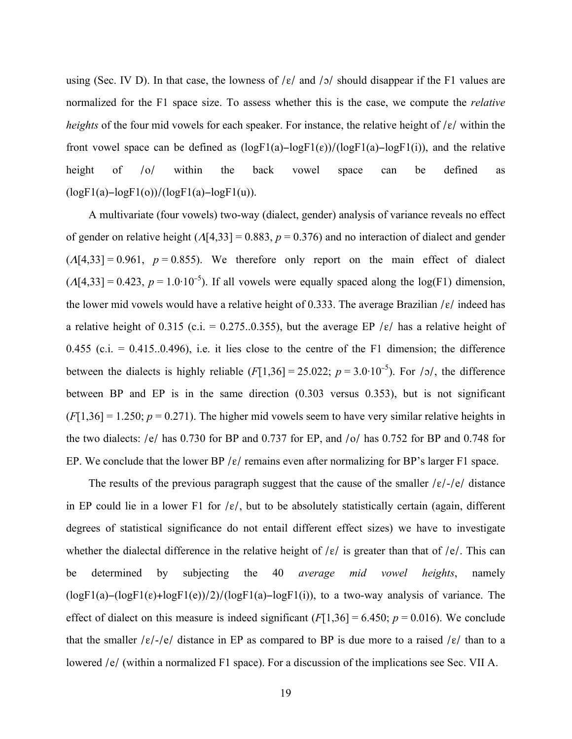using (Sec. IV D). In that case, the lowness of  $\sqrt{\epsilon}$  and  $\sqrt{\frac{3}{\epsilon}}$  should disappear if the F1 values are normalized for the F1 space size. To assess whether this is the case, we compute the *relative heights* of the four mid vowels for each speaker. For instance, the relative height of /ɛ/ within the front vowel space can be defined as  $(logF1(a) - logF1(\epsilon))/(logF1(a) - logF1(i))$ , and the relative height of /o/ within the back vowel space can be defined as  $(logF1(a)-logF1(o))/(logF1(a)-logF1(u)).$ 

A multivariate (four vowels) two-way (dialect, gender) analysis of variance reveals no effect of gender on relative height  $(A[4,33] = 0.883, p = 0.376)$  and no interaction of dialect and gender  $(A[4,33] = 0.961, p = 0.855)$ . We therefore only report on the main effect of dialect  $(A[4,33] = 0.423, p = 1.0 \cdot 10^{-5})$ . If all vowels were equally spaced along the log(F1) dimension, the lower mid vowels would have a relative height of 0.333. The average Brazilian / $\varepsilon$ / indeed has a relative height of 0.315 (c.i. = 0.275..0.355), but the average EP / $\varepsilon$ / has a relative height of  $0.455$  (c.i. =  $0.415..0.496$ ), i.e. it lies close to the centre of the F1 dimension; the difference between the dialects is highly reliable  $(F[1,36] = 25.022$ ;  $p = 3.0 \cdot 10^{-5}$ ). For  $/5$ , the difference between BP and EP is in the same direction (0.303 versus 0.353), but is not significant  $(F[1,36] = 1.250; p = 0.271)$ . The higher mid vowels seem to have very similar relative heights in the two dialects: /e/ has 0.730 for BP and 0.737 for EP, and /o/ has 0.752 for BP and 0.748 for EP. We conclude that the lower BP / $\varepsilon$ / remains even after normalizing for BP's larger F1 space.

The results of the previous paragraph suggest that the cause of the smaller  $\sqrt{\frac{e}{c}}$  distance in EP could lie in a lower F1 for  $/\varepsilon$ , but to be absolutely statistically certain (again, different degrees of statistical significance do not entail different effect sizes) we have to investigate whether the dialectal difference in the relative height of  $\sqrt{\varepsilon}$  is greater than that of  $\sqrt{\varepsilon}$ . This can be determined by subjecting the 40 *average mid vowel heights*, namely (logF1(a)−(logF1(ɛ)+logF1(e))/2)/(logF1(a)−logF1(i)), to a two-way analysis of variance. The effect of dialect on this measure is indeed significant  $(F[1,36] = 6.450; p = 0.016)$ . We conclude that the smaller / $\varepsilon$ /-/ $\varepsilon$ / distance in EP as compared to BP is due more to a raised / $\varepsilon$ / than to a lowered /e/ (within a normalized F1 space). For a discussion of the implications see Sec. VII A.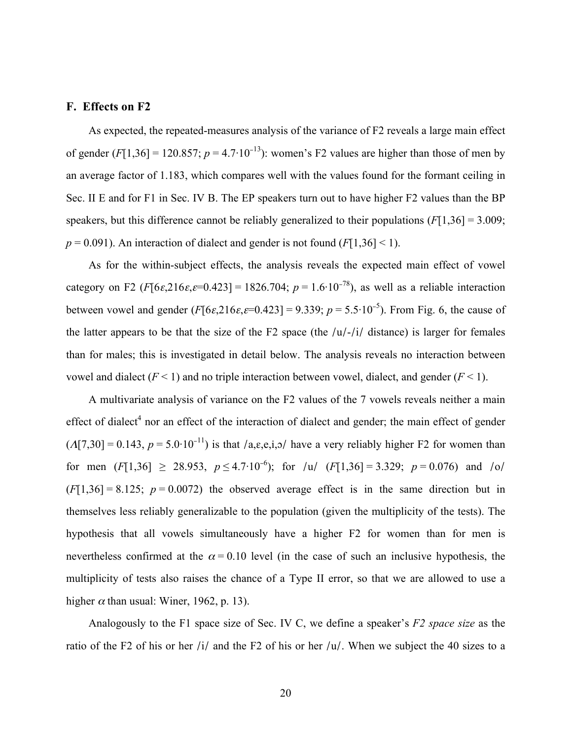#### **F. Effects on F2**

As expected, the repeated-measures analysis of the variance of F2 reveals a large main effect of gender  $(F[1,36] = 120.857$ ;  $p = 4.7 \cdot 10^{-13}$ ): women's F2 values are higher than those of men by an average factor of 1.183, which compares well with the values found for the formant ceiling in Sec. II E and for F1 in Sec. IV B. The EP speakers turn out to have higher F2 values than the BP speakers, but this difference cannot be reliably generalized to their populations  $(F[1,36] = 3.009)$ ;  $p = 0.091$ ). An interaction of dialect and gender is not found  $(F[1,36] \le 1)$ .

As for the within-subject effects, the analysis reveals the expected main effect of vowel category on F2 ( $F[6\varepsilon, 216\varepsilon, \varepsilon = 0.423] = 1826.704$ ;  $p = 1.6 \cdot 10^{-78}$ ), as well as a reliable interaction between vowel and gender  $(F[6\varepsilon, 216\varepsilon, \varepsilon=0.423] = 9.339$ ;  $p = 5.5 \cdot 10^{-5}$ ). From Fig. 6, the cause of the latter appears to be that the size of the F2 space (the  $/u/-i/$  distance) is larger for females than for males; this is investigated in detail below. The analysis reveals no interaction between vowel and dialect  $(F < 1)$  and no triple interaction between vowel, dialect, and gender  $(F < 1)$ .

A multivariate analysis of variance on the F2 values of the 7 vowels reveals neither a main effect of dialect<sup>4</sup> nor an effect of the interaction of dialect and gender; the main effect of gender  $(A[7,30] = 0.143, p = 5.0 \cdot 10^{-11})$  is that /a,ε,e,i,o/ have a very reliably higher F2 for women than for men  $(F[1,36] \ge 28.953$ ,  $p \le 4.7 \cdot 10^{-6}$ ; for /u/  $(F[1,36] = 3.329$ ;  $p = 0.076$ ) and /o/  $(F[1,36] = 8.125$ ;  $p = 0.0072$ ) the observed average effect is in the same direction but in themselves less reliably generalizable to the population (given the multiplicity of the tests). The hypothesis that all vowels simultaneously have a higher F2 for women than for men is nevertheless confirmed at the  $\alpha$  = 0.10 level (in the case of such an inclusive hypothesis, the multiplicity of tests also raises the chance of a Type II error, so that we are allowed to use a higher  $\alpha$  than usual: Winer, 1962, p. 13).

Analogously to the F1 space size of Sec. IV C, we define a speaker's *F2 space size* as the ratio of the F2 of his or her /i/ and the F2 of his or her /u/. When we subject the 40 sizes to a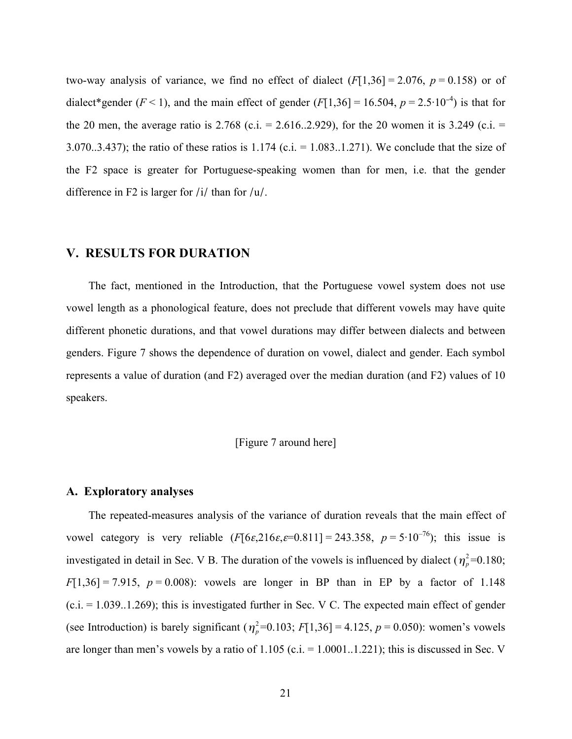two-way analysis of variance, we find no effect of dialect  $(F[1,36] = 2.076, p = 0.158)$  or of dialect\*gender ( $F$  < 1), and the main effect of gender ( $F[1,36] = 16.504$ ,  $p = 2.5 \cdot 10^{-4}$ ) is that for the 20 men, the average ratio is 2.768 (c.i. = 2.616..2.929), for the 20 women it is 3.249 (c.i. = 3.070..3.437); the ratio of these ratios is  $1.174$  (c.i. = 1.083..1.271). We conclude that the size of the F2 space is greater for Portuguese-speaking women than for men, i.e. that the gender difference in F2 is larger for  $\frac{1}{i}$  than for  $\frac{1}{u}$ .

## **V. RESULTS FOR DURATION**

The fact, mentioned in the Introduction, that the Portuguese vowel system does not use vowel length as a phonological feature, does not preclude that different vowels may have quite different phonetic durations, and that vowel durations may differ between dialects and between genders. Figure 7 shows the dependence of duration on vowel, dialect and gender. Each symbol represents a value of duration (and F2) averaged over the median duration (and F2) values of 10 speakers.

[Figure 7 around here]

#### **A. Exploratory analyses**

The repeated-measures analysis of the variance of duration reveals that the main effect of vowel category is very reliable  $(F[6\varepsilon, 216\varepsilon, \varepsilon = 0.811] = 243.358, p = 5.10^{-76})$ ; this issue is investigated in detail in Sec. V B. The duration of the vowels is influenced by dialect ( $\eta_p^2$ =0.180;  $(c.i. = 1.039..1.269)$ ; this is investigated further in Sec. V C. The expected main effect of gender  $F[1,36] = 7.915$ ,  $p = 0.008$ ): vowels are longer in BP than in EP by a factor of 1.148 (see Introduction) is barely significant ( $\eta_p^2$ =0.103; *F*[1,36] = 4.125, *p* = 0.050): women's vowels are longer than men's vowels by a ratio of  $1.105$  (c.i.  $= 1.0001...1.221$ ); this is discussed in Sec. V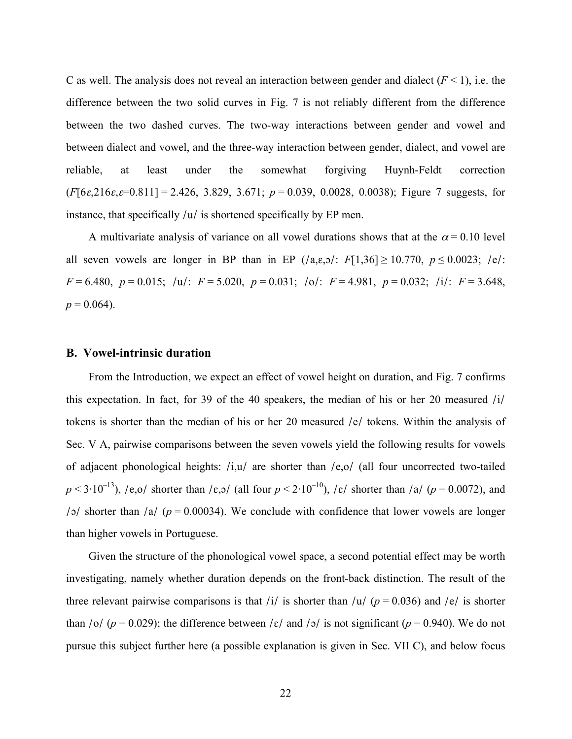C as well. The analysis does not reveal an interaction between gender and dialect  $(F < 1)$ , i.e. the difference between the two solid curves in Fig. 7 is not reliably different from the difference between the two dashed curves. The two-way interactions between gender and vowel and between dialect and vowel, and the three-way interaction between gender, dialect, and vowel are reliable, at least under the somewhat forgiving Huynh-Feldt correction (*F*[6ε,216ε,ε=0.811] = 2.426, 3.829, 3.671; *p* = 0.039, 0.0028, 0.0038); Figure 7 suggests, for instance, that specifically /u/ is shortened specifically by EP men.

A multivariate analysis of variance on all vowel durations shows that at the  $\alpha = 0.10$  level all seven vowels are longer in BP than in EP  $(\overline{a},\overline{e},\overline{0})$ :  $F[1,36] \ge 10.770$ ,  $p \le 0.0023$ ; /e/: *F* = 6.480, *p* = 0.015; /u/: *F* = 5.020, *p* = 0.031; /o/: *F* = 4.981, *p* = 0.032; /i/: *F* = 3.648,  $p = 0.064$ .

#### **B. Vowel-intrinsic duration**

From the Introduction, we expect an effect of vowel height on duration, and Fig. 7 confirms this expectation. In fact, for 39 of the 40 speakers, the median of his or her 20 measured /i/ tokens is shorter than the median of his or her 20 measured /e/ tokens. Within the analysis of Sec. V A, pairwise comparisons between the seven vowels yield the following results for vowels of adjacent phonological heights: /i,u/ are shorter than /e,o/ (all four uncorrected two-tailed  $p < 3.10^{-13}$ ), /e,o/ shorter than /ɛ,ɔ/ (all four  $p < 2.10^{-10}$ ), /ɛ/ shorter than /a/ ( $p = 0.0072$ ), and / $\sigma$ / shorter than /a/ ( $p = 0.00034$ ). We conclude with confidence that lower vowels are longer than higher vowels in Portuguese.

Given the structure of the phonological vowel space, a second potential effect may be worth investigating, namely whether duration depends on the front-back distinction. The result of the three relevant pairwise comparisons is that  $\frac{1}{i}$  is shorter than  $\frac{1}{u}$  ( $p = 0.036$ ) and  $\frac{1}{e}$  is shorter than /o/ ( $p = 0.029$ ); the difference between / $\varepsilon$ / and / $\sigma$ / is not significant ( $p = 0.940$ ). We do not pursue this subject further here (a possible explanation is given in Sec. VII C), and below focus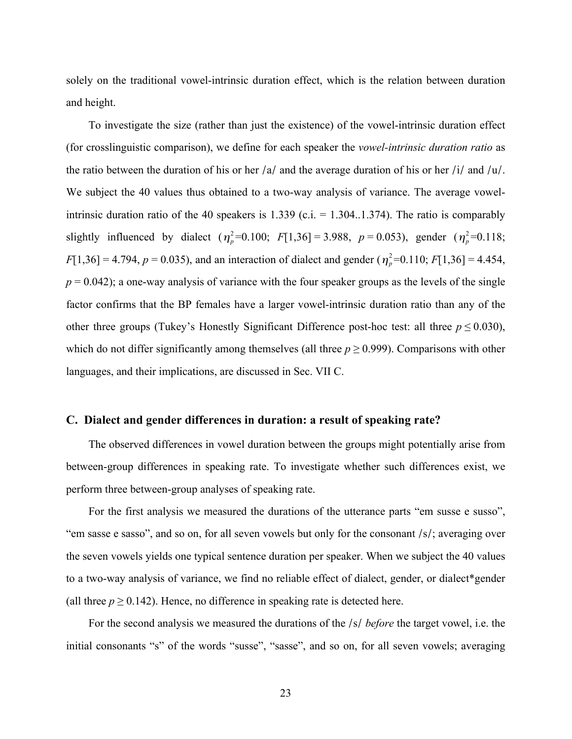solely on the traditional vowel-intrinsic duration effect, which is the relation between duration and height.

To investigate the size (rather than just the existence) of the vowel-intrinsic duration effect (for crosslinguistic comparison), we define for each speaker the *vowel-intrinsic duration ratio* as the ratio between the duration of his or her /a/ and the average duration of his or her /i/ and /u/. We subject the 40 values thus obtained to a two-way analysis of variance. The average vowelintrinsic duration ratio of the 40 speakers is  $1.339$  (c.i. =  $1.304$ ...1.374). The ratio is comparably slightly influenced by dialect  $(\eta_p^2=0.100; F[1,36] = 3.988, p = 0.053)$ , gender  $(\eta_p^2=0.118;$  $p = 0.042$ ); a one-way analysis of variance with the four speaker groups as the levels of the single  $F[1,36] = 4.794$ ,  $p = 0.035$ ), and an interaction of dialect and gender ( $\eta_p^2 = 0.110$ ;  $F[1,36] = 4.454$ , factor confirms that the BP females have a larger vowel-intrinsic duration ratio than any of the other three groups (Tukey's Honestly Significant Difference post-hoc test: all three  $p \le 0.030$ ), which do not differ significantly among themselves (all three  $p \ge 0.999$ ). Comparisons with other languages, and their implications, are discussed in Sec. VII C.

## **C. Dialect and gender differences in duration: a result of speaking rate?**

The observed differences in vowel duration between the groups might potentially arise from between-group differences in speaking rate. To investigate whether such differences exist, we perform three between-group analyses of speaking rate.

For the first analysis we measured the durations of the utterance parts "em susse e susso", "em sasse e sasso", and so on, for all seven vowels but only for the consonant /s/; averaging over the seven vowels yields one typical sentence duration per speaker. When we subject the 40 values to a two-way analysis of variance, we find no reliable effect of dialect, gender, or dialect\*gender (all three  $p \ge 0.142$ ). Hence, no difference in speaking rate is detected here.

For the second analysis we measured the durations of the /s/ *before* the target vowel, i.e. the initial consonants "s" of the words "susse", "sasse", and so on, for all seven vowels; averaging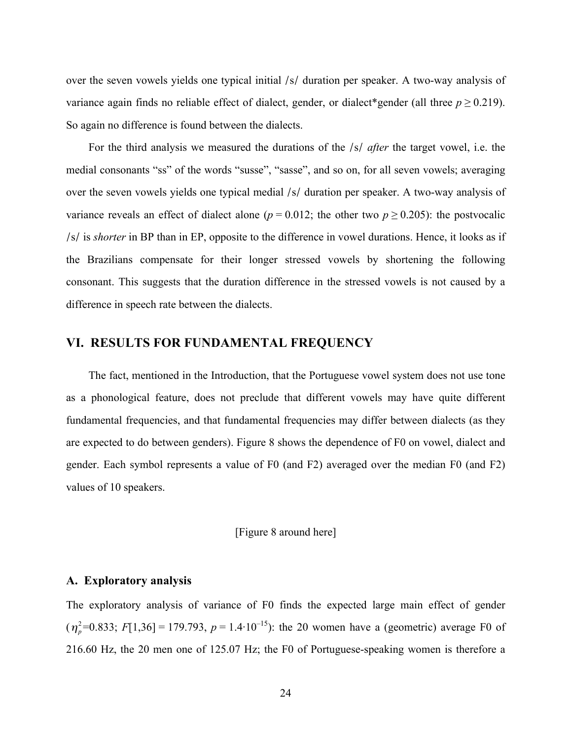over the seven vowels yields one typical initial /s/ duration per speaker. A two-way analysis of variance again finds no reliable effect of dialect, gender, or dialect\*gender (all three  $p \ge 0.219$ ). So again no difference is found between the dialects.

For the third analysis we measured the durations of the /s/ *after* the target vowel, i.e. the medial consonants "ss" of the words "susse", "sasse", and so on, for all seven vowels; averaging over the seven vowels yields one typical medial /s/ duration per speaker. A two-way analysis of variance reveals an effect of dialect alone ( $p = 0.012$ ; the other two  $p \ge 0.205$ ): the postvocalic /s/ is *shorter* in BP than in EP, opposite to the difference in vowel durations. Hence, it looks as if the Brazilians compensate for their longer stressed vowels by shortening the following consonant. This suggests that the duration difference in the stressed vowels is not caused by a difference in speech rate between the dialects.

## **VI. RESULTS FOR FUNDAMENTAL FREQUENCY**

The fact, mentioned in the Introduction, that the Portuguese vowel system does not use tone as a phonological feature, does not preclude that different vowels may have quite different fundamental frequencies, and that fundamental frequencies may differ between dialects (as they are expected to do between genders). Figure 8 shows the dependence of F0 on vowel, dialect and gender. Each symbol represents a value of F0 (and F2) averaged over the median F0 (and F2) values of 10 speakers.

## [Figure 8 around here]

#### **A. Exploratory analysis**

The exploratory analysis of variance of F0 finds the expected large main effect of gender  $(\eta_p^2=0.833; F[1,36] = 179.793, p = 1.4 \cdot 10^{-15})$ : the 20 women have a (geometric) average F0 of 216.60 Hz, the 20 men one of 125.07 Hz; the F0 of Portuguese-speaking women is therefore a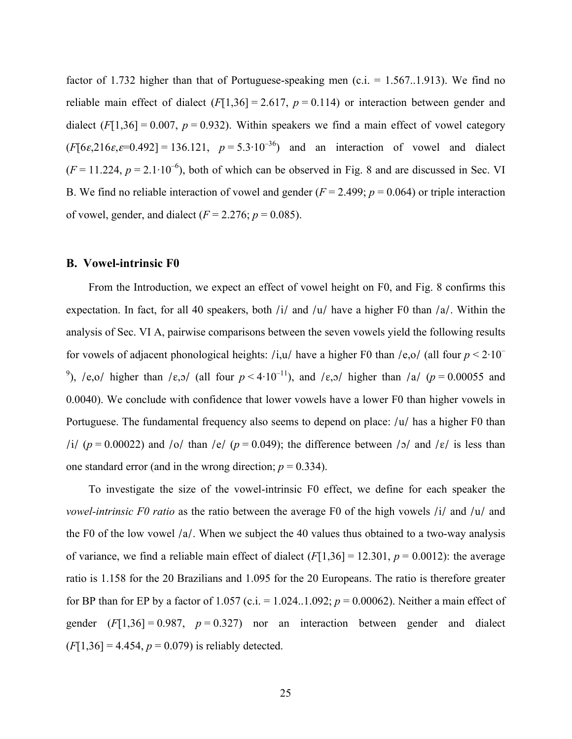factor of 1.732 higher than that of Portuguese-speaking men (c.i.  $= 1.567...1.913$ ). We find no reliable main effect of dialect  $(F[1,36] = 2.617, p = 0.114)$  or interaction between gender and dialect  $(F[1,36] = 0.007, p = 0.932)$ . Within speakers we find a main effect of vowel category  $(F[6\varepsilon, 216\varepsilon, \varepsilon = 0.492] = 136.121$ ,  $p = 5.3 \cdot 10^{-36}$  and an interaction of vowel and dialect  $(F = 11.224, p = 2.1 \cdot 10^{-6})$ , both of which can be observed in Fig. 8 and are discussed in Sec. VI B. We find no reliable interaction of vowel and gender  $(F = 2.499; p = 0.064)$  or triple interaction of vowel, gender, and dialect  $(F = 2.276; p = 0.085)$ .

#### **B. Vowel-intrinsic F0**

From the Introduction, we expect an effect of vowel height on F0, and Fig. 8 confirms this expectation. In fact, for all 40 speakers, both /i/ and /u/ have a higher F0 than /a/. Within the analysis of Sec. VI A, pairwise comparisons between the seven vowels yield the following results for vowels of adjacent phonological heights:  $/i.u/$  have a higher F0 than  $/e.o/$  (all four  $p < 2.10^-$ ) <sup>9</sup>), /e,o/ higher than /ɛ,ɔ/ (all four  $p < 4 \cdot 10^{-11}$ ), and /ɛ,ɔ/ higher than /a/ ( $p = 0.00055$  and 0.0040). We conclude with confidence that lower vowels have a lower F0 than higher vowels in Portuguese. The fundamental frequency also seems to depend on place: /u/ has a higher F0 than /i/ ( $p = 0.00022$ ) and /o/ than /e/ ( $p = 0.049$ ); the difference between /o/ and / $\varepsilon$ / is less than one standard error (and in the wrong direction;  $p = 0.334$ ).

To investigate the size of the vowel-intrinsic F0 effect, we define for each speaker the *vowel-intrinsic F0 ratio* as the ratio between the average F0 of the high vowels /i/ and /u/ and the F0 of the low vowel /a/. When we subject the 40 values thus obtained to a two-way analysis of variance, we find a reliable main effect of dialect  $(F[1,36] = 12.301, p = 0.0012)$ : the average ratio is 1.158 for the 20 Brazilians and 1.095 for the 20 Europeans. The ratio is therefore greater for BP than for EP by a factor of 1.057 (c.i.  $= 1.024...1.092$ ;  $p = 0.00062$ ). Neither a main effect of gender  $(F[1,36] = 0.987, p = 0.327)$  nor an interaction between gender and dialect  $(F[1,36] = 4.454, p = 0.079)$  is reliably detected.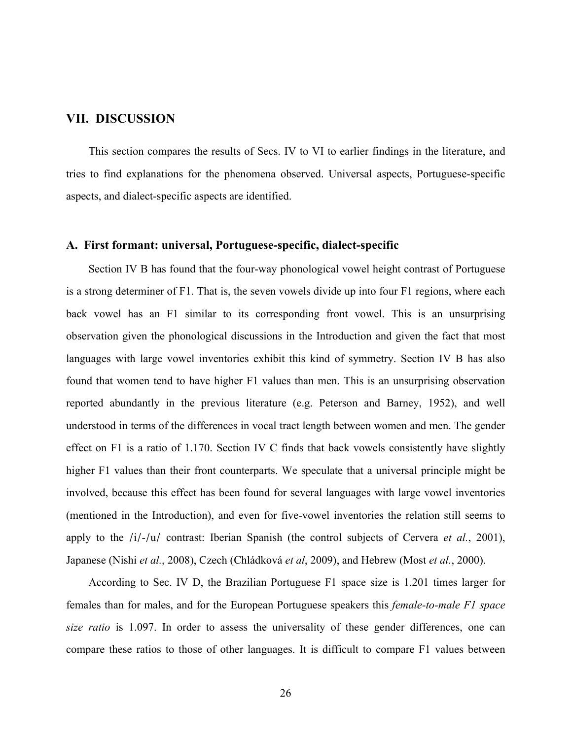## **VII. DISCUSSION**

This section compares the results of Secs. IV to VI to earlier findings in the literature, and tries to find explanations for the phenomena observed. Universal aspects, Portuguese-specific aspects, and dialect-specific aspects are identified.

#### **A. First formant: universal, Portuguese-specific, dialect-specific**

Section IV B has found that the four-way phonological vowel height contrast of Portuguese is a strong determiner of F1. That is, the seven vowels divide up into four F1 regions, where each back vowel has an F1 similar to its corresponding front vowel. This is an unsurprising observation given the phonological discussions in the Introduction and given the fact that most languages with large vowel inventories exhibit this kind of symmetry. Section IV B has also found that women tend to have higher F1 values than men. This is an unsurprising observation reported abundantly in the previous literature (e.g. Peterson and Barney, 1952), and well understood in terms of the differences in vocal tract length between women and men. The gender effect on F1 is a ratio of 1.170. Section IV C finds that back vowels consistently have slightly higher F1 values than their front counterparts. We speculate that a universal principle might be involved, because this effect has been found for several languages with large vowel inventories (mentioned in the Introduction), and even for five-vowel inventories the relation still seems to apply to the /i/-/u/ contrast: Iberian Spanish (the control subjects of Cervera *et al.*, 2001), Japanese (Nishi *et al.*, 2008), Czech (Chládková *et al*, 2009), and Hebrew (Most *et al.*, 2000).

According to Sec. IV D, the Brazilian Portuguese F1 space size is 1.201 times larger for females than for males, and for the European Portuguese speakers this *female-to-male F1 space size ratio* is 1.097. In order to assess the universality of these gender differences, one can compare these ratios to those of other languages. It is difficult to compare F1 values between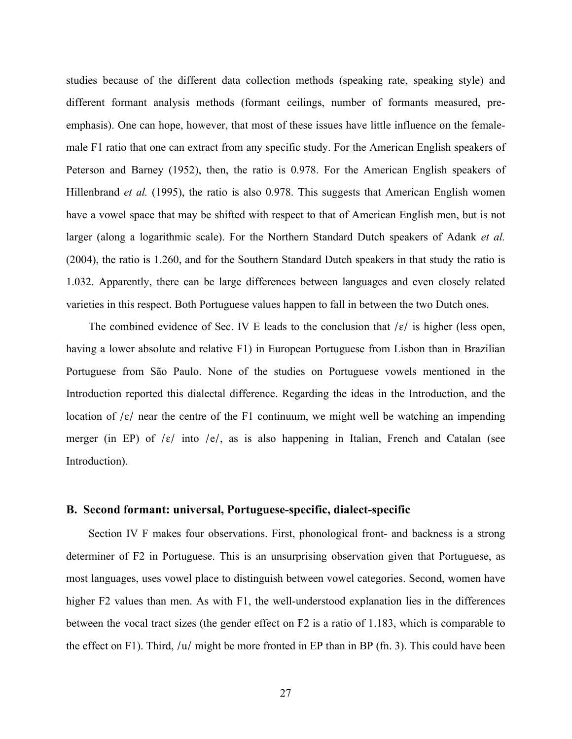studies because of the different data collection methods (speaking rate, speaking style) and different formant analysis methods (formant ceilings, number of formants measured, preemphasis). One can hope, however, that most of these issues have little influence on the femalemale F1 ratio that one can extract from any specific study. For the American English speakers of Peterson and Barney (1952), then, the ratio is 0.978. For the American English speakers of Hillenbrand *et al.* (1995), the ratio is also 0.978. This suggests that American English women have a vowel space that may be shifted with respect to that of American English men, but is not larger (along a logarithmic scale). For the Northern Standard Dutch speakers of Adank *et al.* (2004), the ratio is 1.260, and for the Southern Standard Dutch speakers in that study the ratio is 1.032. Apparently, there can be large differences between languages and even closely related varieties in this respect. Both Portuguese values happen to fall in between the two Dutch ones.

The combined evidence of Sec. IV E leads to the conclusion that  $\sqrt{\epsilon}$  is higher (less open, having a lower absolute and relative F1) in European Portuguese from Lisbon than in Brazilian Portuguese from São Paulo. None of the studies on Portuguese vowels mentioned in the Introduction reported this dialectal difference. Regarding the ideas in the Introduction, and the location of  $\epsilon$  near the centre of the F1 continuum, we might well be watching an impending merger (in EP) of  $\sqrt{\epsilon}$  into  $\sqrt{\epsilon}$ , as is also happening in Italian, French and Catalan (see Introduction).

## **B. Second formant: universal, Portuguese-specific, dialect-specific**

Section IV F makes four observations. First, phonological front- and backness is a strong determiner of F2 in Portuguese. This is an unsurprising observation given that Portuguese, as most languages, uses vowel place to distinguish between vowel categories. Second, women have higher F2 values than men. As with F1, the well-understood explanation lies in the differences between the vocal tract sizes (the gender effect on F2 is a ratio of 1.183, which is comparable to the effect on F1). Third, /u/ might be more fronted in EP than in BP (fn. 3). This could have been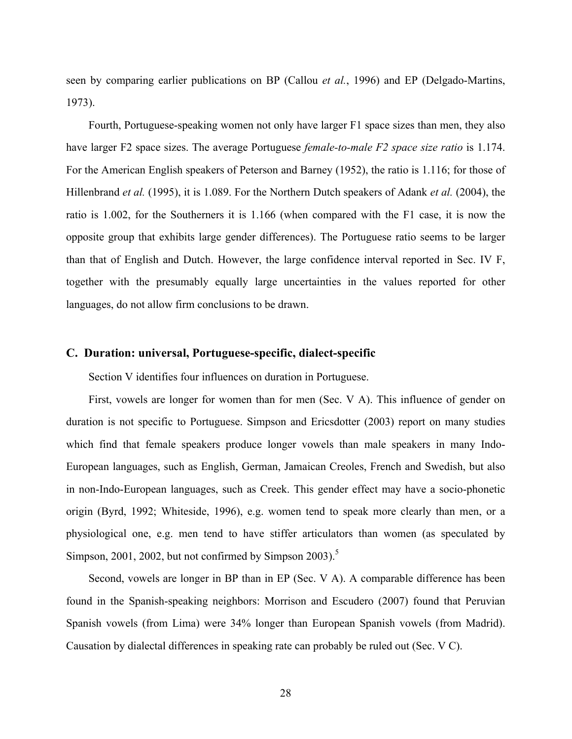seen by comparing earlier publications on BP (Callou *et al.*, 1996) and EP (Delgado-Martins, 1973).

Fourth, Portuguese-speaking women not only have larger F1 space sizes than men, they also have larger F2 space sizes. The average Portuguese *female-to-male F2 space size ratio* is 1.174. For the American English speakers of Peterson and Barney (1952), the ratio is 1.116; for those of Hillenbrand *et al.* (1995), it is 1.089. For the Northern Dutch speakers of Adank *et al.* (2004), the ratio is 1.002, for the Southerners it is 1.166 (when compared with the F1 case, it is now the opposite group that exhibits large gender differences). The Portuguese ratio seems to be larger than that of English and Dutch. However, the large confidence interval reported in Sec. IV F, together with the presumably equally large uncertainties in the values reported for other languages, do not allow firm conclusions to be drawn.

## **C. Duration: universal, Portuguese-specific, dialect-specific**

Section V identifies four influences on duration in Portuguese.

First, vowels are longer for women than for men (Sec. V A). This influence of gender on duration is not specific to Portuguese. Simpson and Ericsdotter (2003) report on many studies which find that female speakers produce longer vowels than male speakers in many Indo-European languages, such as English, German, Jamaican Creoles, French and Swedish, but also in non-Indo-European languages, such as Creek. This gender effect may have a socio-phonetic origin (Byrd, 1992; Whiteside, 1996), e.g. women tend to speak more clearly than men, or a physiological one, e.g. men tend to have stiffer articulators than women (as speculated by Simpson, 2001, 2002, but not confirmed by Simpson  $2003$ .<sup>5</sup>

Second, vowels are longer in BP than in EP (Sec. V A). A comparable difference has been found in the Spanish-speaking neighbors: Morrison and Escudero (2007) found that Peruvian Spanish vowels (from Lima) were 34% longer than European Spanish vowels (from Madrid). Causation by dialectal differences in speaking rate can probably be ruled out (Sec. V C).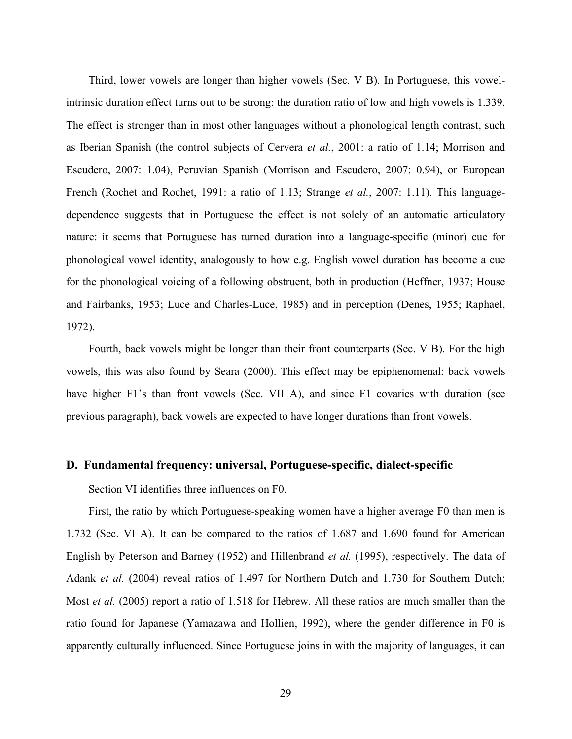Third, lower vowels are longer than higher vowels (Sec. V B). In Portuguese, this vowelintrinsic duration effect turns out to be strong: the duration ratio of low and high vowels is 1.339. The effect is stronger than in most other languages without a phonological length contrast, such as Iberian Spanish (the control subjects of Cervera *et al.*, 2001: a ratio of 1.14; Morrison and Escudero, 2007: 1.04), Peruvian Spanish (Morrison and Escudero, 2007: 0.94), or European French (Rochet and Rochet, 1991: a ratio of 1.13; Strange *et al.*, 2007: 1.11). This languagedependence suggests that in Portuguese the effect is not solely of an automatic articulatory nature: it seems that Portuguese has turned duration into a language-specific (minor) cue for phonological vowel identity, analogously to how e.g. English vowel duration has become a cue for the phonological voicing of a following obstruent, both in production (Heffner, 1937; House and Fairbanks, 1953; Luce and Charles-Luce, 1985) and in perception (Denes, 1955; Raphael, 1972).

Fourth, back vowels might be longer than their front counterparts (Sec. V B). For the high vowels, this was also found by Seara (2000). This effect may be epiphenomenal: back vowels have higher F1's than front vowels (Sec. VII A), and since F1 covaries with duration (see previous paragraph), back vowels are expected to have longer durations than front vowels.

#### **D. Fundamental frequency: universal, Portuguese-specific, dialect-specific**

Section VI identifies three influences on F0.

First, the ratio by which Portuguese-speaking women have a higher average F0 than men is 1.732 (Sec. VI A). It can be compared to the ratios of 1.687 and 1.690 found for American English by Peterson and Barney (1952) and Hillenbrand *et al.* (1995), respectively. The data of Adank *et al.* (2004) reveal ratios of 1.497 for Northern Dutch and 1.730 for Southern Dutch; Most *et al.* (2005) report a ratio of 1.518 for Hebrew. All these ratios are much smaller than the ratio found for Japanese (Yamazawa and Hollien, 1992), where the gender difference in F0 is apparently culturally influenced. Since Portuguese joins in with the majority of languages, it can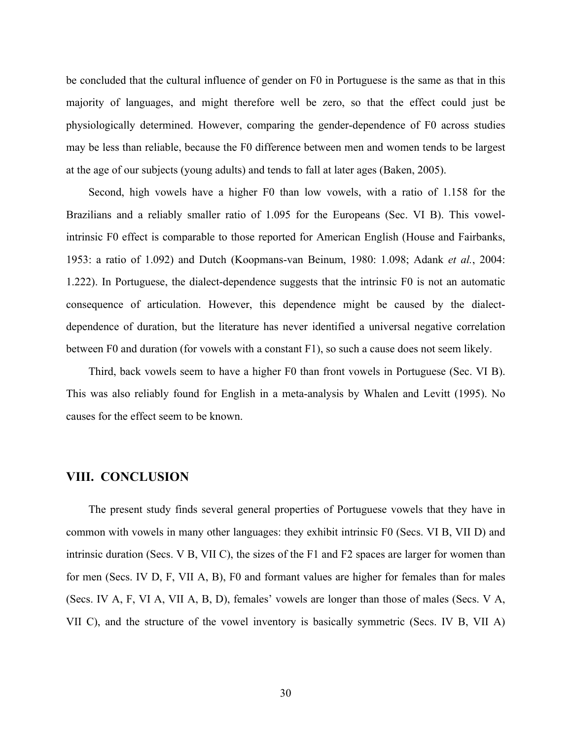be concluded that the cultural influence of gender on F0 in Portuguese is the same as that in this majority of languages, and might therefore well be zero, so that the effect could just be physiologically determined. However, comparing the gender-dependence of F0 across studies may be less than reliable, because the F0 difference between men and women tends to be largest at the age of our subjects (young adults) and tends to fall at later ages (Baken, 2005).

Second, high vowels have a higher F0 than low vowels, with a ratio of 1.158 for the Brazilians and a reliably smaller ratio of 1.095 for the Europeans (Sec. VI B). This vowelintrinsic F0 effect is comparable to those reported for American English (House and Fairbanks, 1953: a ratio of 1.092) and Dutch (Koopmans-van Beinum, 1980: 1.098; Adank *et al.*, 2004: 1.222). In Portuguese, the dialect-dependence suggests that the intrinsic F0 is not an automatic consequence of articulation. However, this dependence might be caused by the dialectdependence of duration, but the literature has never identified a universal negative correlation between F0 and duration (for vowels with a constant F1), so such a cause does not seem likely.

Third, back vowels seem to have a higher F0 than front vowels in Portuguese (Sec. VI B). This was also reliably found for English in a meta-analysis by Whalen and Levitt (1995). No causes for the effect seem to be known.

## **VIII. CONCLUSION**

The present study finds several general properties of Portuguese vowels that they have in common with vowels in many other languages: they exhibit intrinsic F0 (Secs. VI B, VII D) and intrinsic duration (Secs. V B, VII C), the sizes of the F1 and F2 spaces are larger for women than for men (Secs. IV D, F, VII A, B), F0 and formant values are higher for females than for males (Secs. IV A, F, VI A, VII A, B, D), females' vowels are longer than those of males (Secs. V A, VII C), and the structure of the vowel inventory is basically symmetric (Secs. IV B, VII A)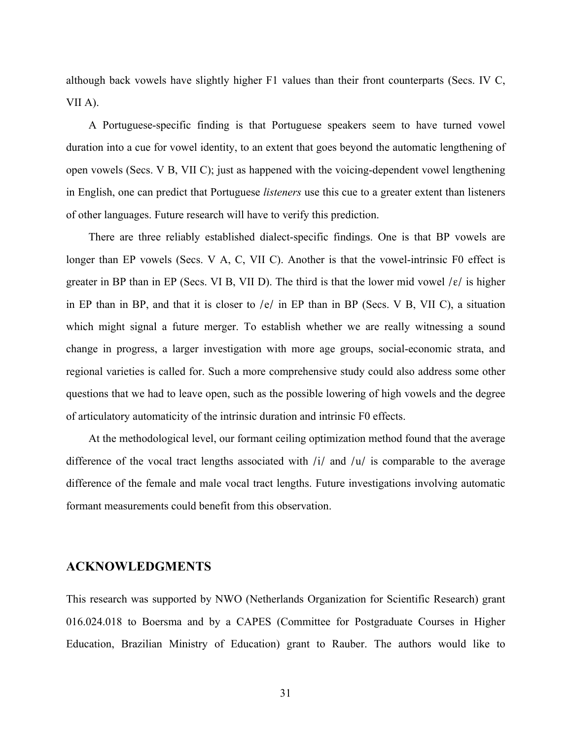although back vowels have slightly higher F1 values than their front counterparts (Secs. IV C, VII A).

A Portuguese-specific finding is that Portuguese speakers seem to have turned vowel duration into a cue for vowel identity, to an extent that goes beyond the automatic lengthening of open vowels (Secs. V B, VII C); just as happened with the voicing-dependent vowel lengthening in English, one can predict that Portuguese *listeners* use this cue to a greater extent than listeners of other languages. Future research will have to verify this prediction.

There are three reliably established dialect-specific findings. One is that BP vowels are longer than EP vowels (Secs. V A, C, VII C). Another is that the vowel-intrinsic F0 effect is greater in BP than in EP (Secs. VI B, VII D). The third is that the lower mid vowel  $\frac{\varepsilon}{\varepsilon}$  is higher in EP than in BP, and that it is closer to /e/ in EP than in BP (Secs. V B, VII C), a situation which might signal a future merger. To establish whether we are really witnessing a sound change in progress, a larger investigation with more age groups, social-economic strata, and regional varieties is called for. Such a more comprehensive study could also address some other questions that we had to leave open, such as the possible lowering of high vowels and the degree of articulatory automaticity of the intrinsic duration and intrinsic F0 effects.

At the methodological level, our formant ceiling optimization method found that the average difference of the vocal tract lengths associated with  $\frac{1}{4}$  and  $\frac{1}{u}$  is comparable to the average difference of the female and male vocal tract lengths. Future investigations involving automatic formant measurements could benefit from this observation.

## **ACKNOWLEDGMENTS**

This research was supported by NWO (Netherlands Organization for Scientific Research) grant 016.024.018 to Boersma and by a CAPES (Committee for Postgraduate Courses in Higher Education, Brazilian Ministry of Education) grant to Rauber. The authors would like to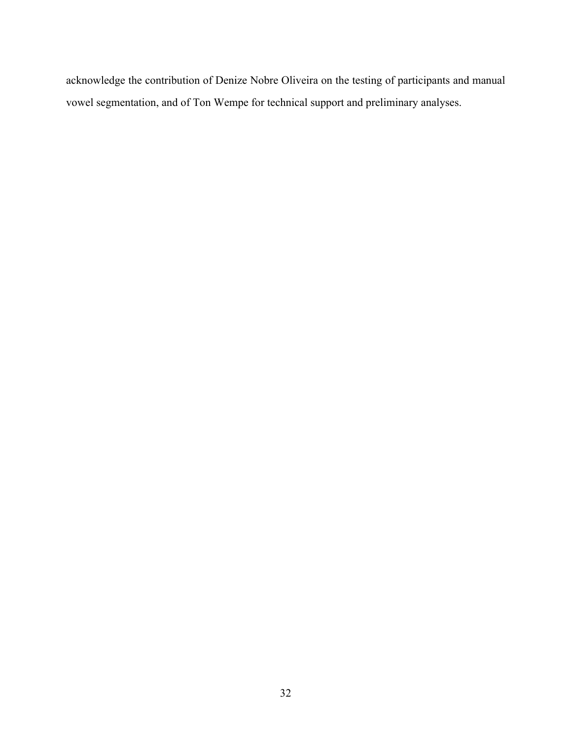acknowledge the contribution of Denize Nobre Oliveira on the testing of participants and manual vowel segmentation, and of Ton Wempe for technical support and preliminary analyses.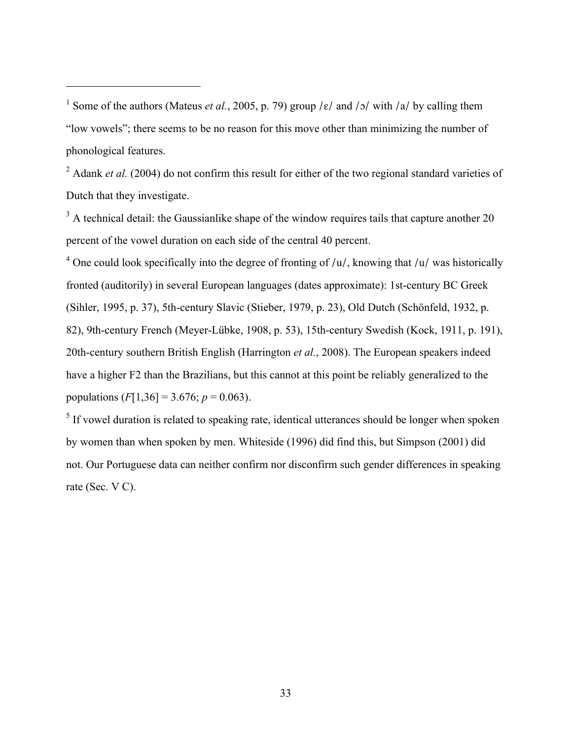<sup>1</sup> Some of the authors (Mateus *et al.*, 2005, p. 79) group / $\varepsilon$ / and / $\sigma$ / with / $a$ / by calling them "low vowels"; there seems to be no reason for this move other than minimizing the number of phonological features.

 $\overline{a}$ 

<sup>2</sup> Adank *et al.* (2004) do not confirm this result for either of the two regional standard varieties of Dutch that they investigate.

 $3$  A technical detail: the Gaussianlike shape of the window requires tails that capture another 20 percent of the vowel duration on each side of the central 40 percent.

<sup>4</sup> One could look specifically into the degree of fronting of  $/u/$ , knowing that  $/u/$  was historically fronted (auditorily) in several European languages (dates approximate): 1st-century BC Greek (Sihler, 1995, p. 37), 5th-century Slavic (Stieber, 1979, p. 23), Old Dutch (Schönfeld, 1932, p. 82), 9th-century French (Meyer-Lübke, 1908, p. 53), 15th-century Swedish (Kock, 1911, p. 191), 20th-century southern British English (Harrington *et al.*, 2008). The European speakers indeed have a higher F2 than the Brazilians, but this cannot at this point be reliably generalized to the populations  $(F[1,36] = 3.676; p = 0.063)$ .

 $<sup>5</sup>$  If vowel duration is related to speaking rate, identical utterances should be longer when spoken</sup> by women than when spoken by men. Whiteside (1996) did find this, but Simpson (2001) did not. Our Portuguese data can neither confirm nor disconfirm such gender differences in speaking rate (Sec. V C).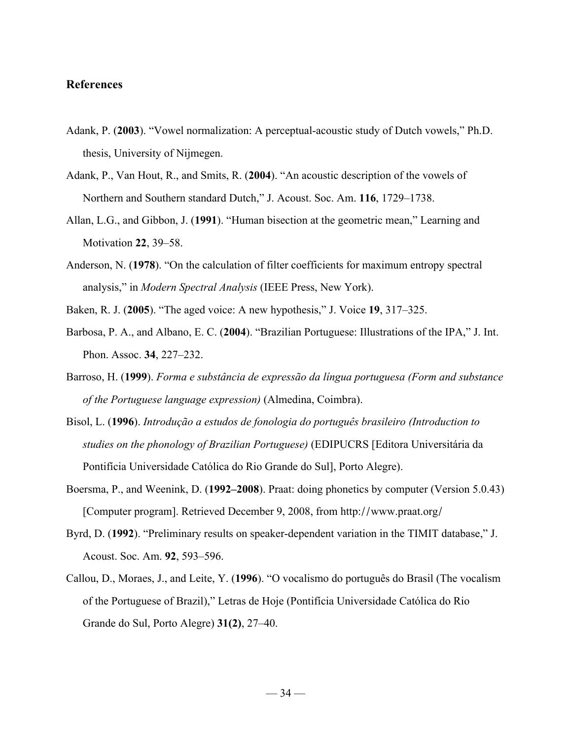## **References**

- Adank, P. (**2003**). "Vowel normalization: A perceptual-acoustic study of Dutch vowels," Ph.D. thesis, University of Nijmegen.
- Adank, P., Van Hout, R., and Smits, R. (**2004**). "An acoustic description of the vowels of Northern and Southern standard Dutch," J. Acoust. Soc. Am. **116**, 1729–1738.
- Allan, L.G., and Gibbon, J. (**1991**). "Human bisection at the geometric mean," Learning and Motivation **22**, 39–58.
- Anderson, N. (**1978**). "On the calculation of filter coefficients for maximum entropy spectral analysis," in *Modern Spectral Analysis* (IEEE Press, New York).
- Baken, R. J. (**2005**). "The aged voice: A new hypothesis," J. Voice **19**, 317–325.
- Barbosa, P. A., and Albano, E. C. (**2004**). "Brazilian Portuguese: Illustrations of the IPA," J. Int. Phon. Assoc. **34**, 227–232.
- Barroso, H. (**1999**). *Forma e substância de expressão da língua portuguesa (Form and substance of the Portuguese language expression)* (Almedina, Coimbra).
- Bisol, L. (**1996**). *Introdução a estudos de fonologia do português brasileiro (Introduction to studies on the phonology of Brazilian Portuguese)* (EDIPUCRS [Editora Universitária da Pontifícia Universidade Católica do Rio Grande do Sul], Porto Alegre).
- Boersma, P., and Weenink, D. (**1992–2008**). Praat: doing phonetics by computer (Version 5.0.43) [Computer program]. Retrieved December 9, 2008, from http://www.praat.org/
- Byrd, D. (**1992**). "Preliminary results on speaker-dependent variation in the TIMIT database," J. Acoust. Soc. Am. **92**, 593–596.
- Callou, D., Moraes, J., and Leite, Y. (**1996**). "O vocalismo do português do Brasil (The vocalism of the Portuguese of Brazil)," Letras de Hoje (Pontifícia Universidade Católica do Rio Grande do Sul, Porto Alegre) **31(2)**, 27–40.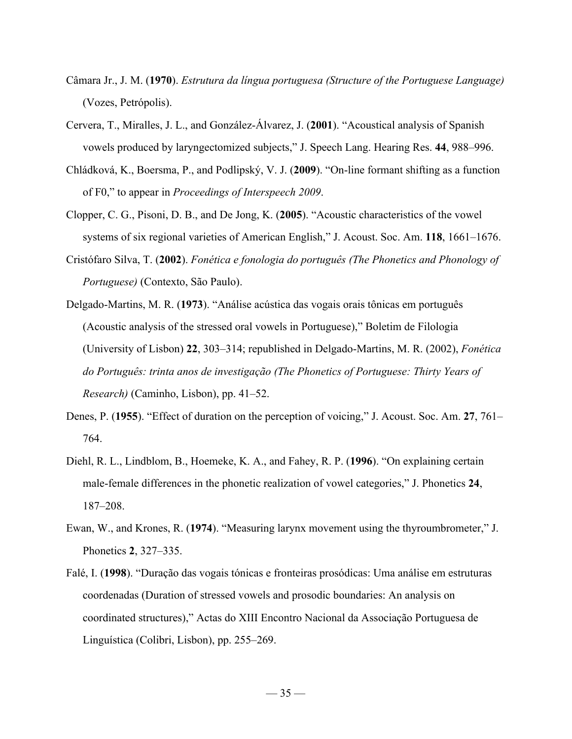- Câmara Jr., J. M. (**1970**). *Estrutura da língua portuguesa (Structure of the Portuguese Language)* (Vozes, Petrópolis).
- Cervera, T., Miralles, J. L., and González-Álvarez, J. (**2001**). "Acoustical analysis of Spanish vowels produced by laryngectomized subjects," J. Speech Lang. Hearing Res. **44**, 988–996.
- Chládková, K., Boersma, P., and Podlipský, V. J. (**2009**). "On-line formant shifting as a function of F0," to appear in *Proceedings of Interspeech 2009*.
- Clopper, C. G., Pisoni, D. B., and De Jong, K. (**2005**). "Acoustic characteristics of the vowel systems of six regional varieties of American English," J. Acoust. Soc. Am. **118**, 1661–1676.
- Cristófaro Silva, T. (**2002**). *Fonética e fonologia do português (The Phonetics and Phonology of Portuguese)* (Contexto, São Paulo).
- Delgado-Martins, M. R. (**1973**). "Análise acústica das vogais orais tônicas em português (Acoustic analysis of the stressed oral vowels in Portuguese)," Boletim de Filologia (University of Lisbon) **22**, 303–314; republished in Delgado-Martins, M. R. (2002), *Fonética do Português: trinta anos de investigação (The Phonetics of Portuguese: Thirty Years of Research)* (Caminho, Lisbon), pp. 41–52.
- Denes, P. (**1955**). "Effect of duration on the perception of voicing," J. Acoust. Soc. Am. **27**, 761– 764.
- Diehl, R. L., Lindblom, B., Hoemeke, K. A., and Fahey, R. P. (**1996**). "On explaining certain male-female differences in the phonetic realization of vowel categories," J. Phonetics **24**, 187–208.
- Ewan, W., and Krones, R. (**1974**). "Measuring larynx movement using the thyroumbrometer," J. Phonetics **2**, 327–335.
- Falé, I. (**1998**). "Duração das vogais tónicas e fronteiras prosódicas: Uma análise em estruturas coordenadas (Duration of stressed vowels and prosodic boundaries: An analysis on coordinated structures)," Actas do XIII Encontro Nacional da Associação Portuguesa de Linguística (Colibri, Lisbon), pp. 255–269.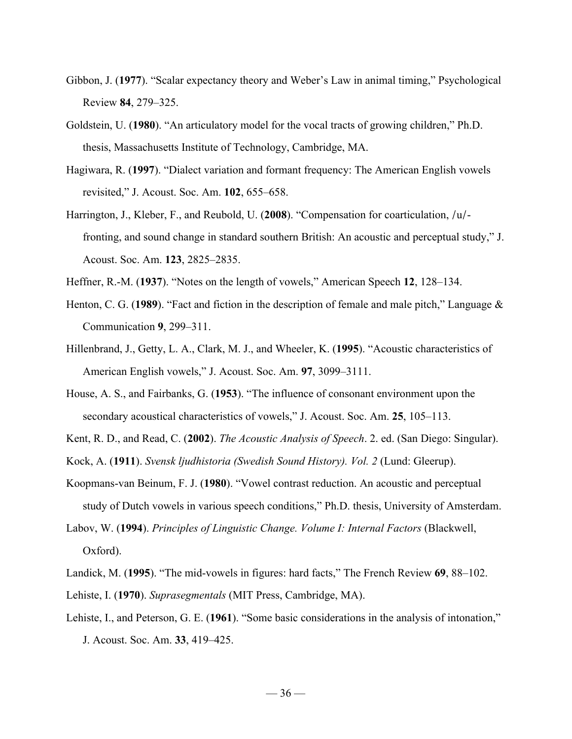- Gibbon, J. (**1977**). "Scalar expectancy theory and Weber's Law in animal timing," Psychological Review **84**, 279–325.
- Goldstein, U. (**1980**). "An articulatory model for the vocal tracts of growing children," Ph.D. thesis, Massachusetts Institute of Technology, Cambridge, MA.
- Hagiwara, R. (**1997**). "Dialect variation and formant frequency: The American English vowels revisited," J. Acoust. Soc. Am. **102**, 655–658.
- Harrington, J., Kleber, F., and Reubold, U. (**2008**). "Compensation for coarticulation, /u/ fronting, and sound change in standard southern British: An acoustic and perceptual study," J. Acoust. Soc. Am. **123**, 2825–2835.
- Heffner, R.-M. (**1937**). "Notes on the length of vowels," American Speech **12**, 128–134.
- Henton, C. G. (**1989**). "Fact and fiction in the description of female and male pitch," Language & Communication **9**, 299–311.
- Hillenbrand, J., Getty, L. A., Clark, M. J., and Wheeler, K. (**1995**). "Acoustic characteristics of American English vowels," J. Acoust. Soc. Am. **97**, 3099–3111.
- House, A. S., and Fairbanks, G. (**1953**). "The influence of consonant environment upon the secondary acoustical characteristics of vowels," J. Acoust. Soc. Am. **25**, 105–113.
- Kent, R. D., and Read, C. (**2002**). *The Acoustic Analysis of Speech*. 2. ed. (San Diego: Singular).
- Kock, A. (**1911**). *Svensk ljudhistoria (Swedish Sound History). Vol. 2* (Lund: Gleerup).
- Koopmans-van Beinum, F. J. (**1980**). "Vowel contrast reduction. An acoustic and perceptual study of Dutch vowels in various speech conditions," Ph.D. thesis, University of Amsterdam.
- Labov, W. (**1994**). *Principles of Linguistic Change. Volume I: Internal Factors* (Blackwell, Oxford).
- Landick, M. (**1995**). "The mid-vowels in figures: hard facts," The French Review **69**, 88–102.
- Lehiste, I. (**1970**). *Suprasegmentals* (MIT Press, Cambridge, MA).
- Lehiste, I., and Peterson, G. E. (**1961**). "Some basic considerations in the analysis of intonation," J. Acoust. Soc. Am. **33**, 419–425.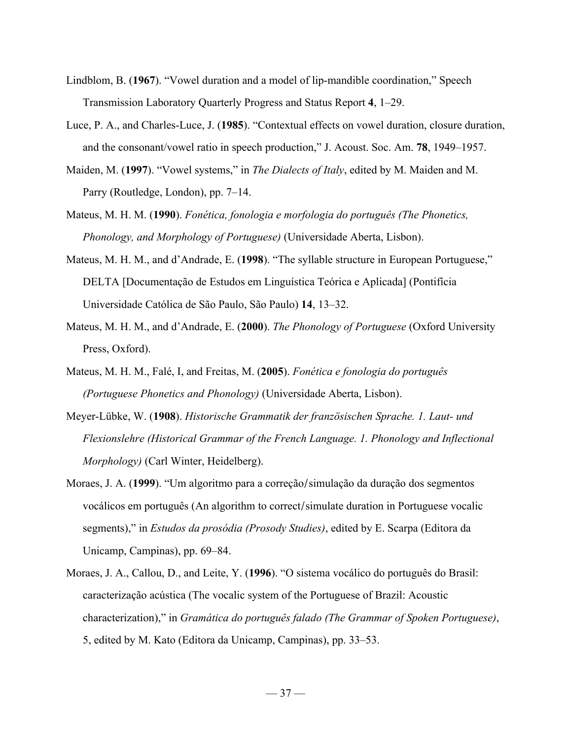- Lindblom, B. (**1967**). "Vowel duration and a model of lip-mandible coordination," Speech Transmission Laboratory Quarterly Progress and Status Report **4**, 1–29.
- Luce, P. A., and Charles-Luce, J. (**1985**). "Contextual effects on vowel duration, closure duration, and the consonant/vowel ratio in speech production," J. Acoust. Soc. Am. **78**, 1949–1957.
- Maiden, M. (**1997**). "Vowel systems," in *The Dialects of Italy*, edited by M. Maiden and M. Parry (Routledge, London), pp. 7–14.
- Mateus, M. H. M. (**1990**). *Fonética, fonologia e morfologia do português (The Phonetics, Phonology, and Morphology of Portuguese)* (Universidade Aberta, Lisbon).
- Mateus, M. H. M., and d'Andrade, E. (**1998**). "The syllable structure in European Portuguese," DELTA [Documentação de Estudos em Linguística Teórica e Aplicada] (Pontifícia Universidade Católica de São Paulo, São Paulo) **14**, 13–32.
- Mateus, M. H. M., and d'Andrade, E. (**2000**). *The Phonology of Portuguese* (Oxford University Press, Oxford).
- Mateus, M. H. M., Falé, I, and Freitas, M. (**2005**). *Fonética e fonologia do português (Portuguese Phonetics and Phonology)* (Universidade Aberta, Lisbon).
- Meyer-Lübke, W. (**1908**). *Historische Grammatik der französischen Sprache. 1. Laut- und Flexionslehre (Historical Grammar of the French Language. 1. Phonology and Inflectional Morphology)* (Carl Winter, Heidelberg).
- Moraes, J. A. (**1999**). "Um algoritmo para a correção/simulação da duração dos segmentos vocálicos em português (An algorithm to correct/simulate duration in Portuguese vocalic segments)," in *Estudos da prosódia (Prosody Studies)*, edited by E. Scarpa (Editora da Unicamp, Campinas), pp. 69–84.
- Moraes, J. A., Callou, D., and Leite, Y. (**1996**). "O sistema vocálico do português do Brasil: caracterização acústica (The vocalic system of the Portuguese of Brazil: Acoustic characterization)," in *Gramática do português falado (The Grammar of Spoken Portuguese)*, 5, edited by M. Kato (Editora da Unicamp, Campinas), pp. 33–53.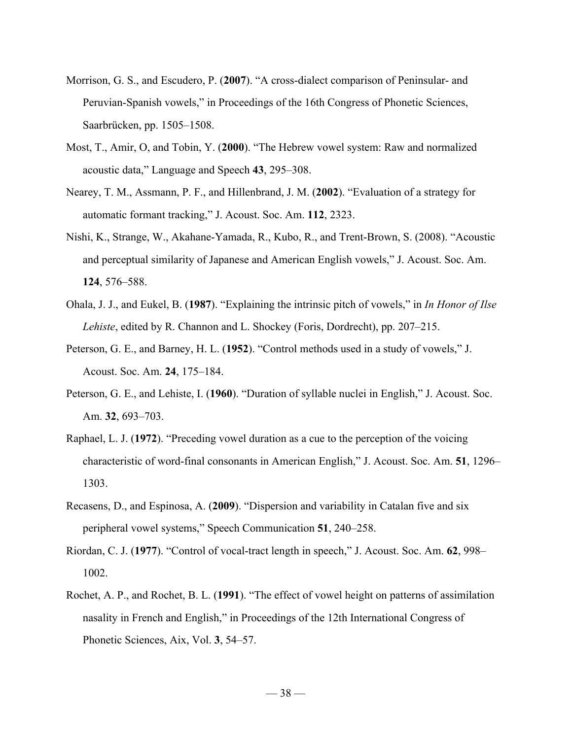- Morrison, G. S., and Escudero, P. (**2007**). "A cross-dialect comparison of Peninsular- and Peruvian-Spanish vowels," in Proceedings of the 16th Congress of Phonetic Sciences, Saarbrücken, pp. 1505–1508.
- Most, T., Amir, O, and Tobin, Y. (**2000**). "The Hebrew vowel system: Raw and normalized acoustic data," Language and Speech **43**, 295–308.
- Nearey, T. M., Assmann, P. F., and Hillenbrand, J. M. (**2002**). "Evaluation of a strategy for automatic formant tracking," J. Acoust. Soc. Am. **112**, 2323.
- Nishi, K., Strange, W., Akahane-Yamada, R., Kubo, R., and Trent-Brown, S. (2008). "Acoustic and perceptual similarity of Japanese and American English vowels," J. Acoust. Soc. Am. **124**, 576–588.
- Ohala, J. J., and Eukel, B. (**1987**). "Explaining the intrinsic pitch of vowels," in *In Honor of Ilse Lehiste*, edited by R. Channon and L. Shockey (Foris, Dordrecht), pp. 207–215.
- Peterson, G. E., and Barney, H. L. (**1952**). "Control methods used in a study of vowels," J. Acoust. Soc. Am. **24**, 175–184.
- Peterson, G. E., and Lehiste, I. (**1960**). "Duration of syllable nuclei in English," J. Acoust. Soc. Am. **32**, 693–703.
- Raphael, L. J. (**1972**). "Preceding vowel duration as a cue to the perception of the voicing characteristic of word-final consonants in American English," J. Acoust. Soc. Am. **51**, 1296– 1303.
- Recasens, D., and Espinosa, A. (**2009**). "Dispersion and variability in Catalan five and six peripheral vowel systems," Speech Communication **51**, 240–258.
- Riordan, C. J. (**1977**). "Control of vocal-tract length in speech," J. Acoust. Soc. Am. **62**, 998– 1002.
- Rochet, A. P., and Rochet, B. L. (**1991**). "The effect of vowel height on patterns of assimilation nasality in French and English," in Proceedings of the 12th International Congress of Phonetic Sciences, Aix, Vol. **3**, 54–57.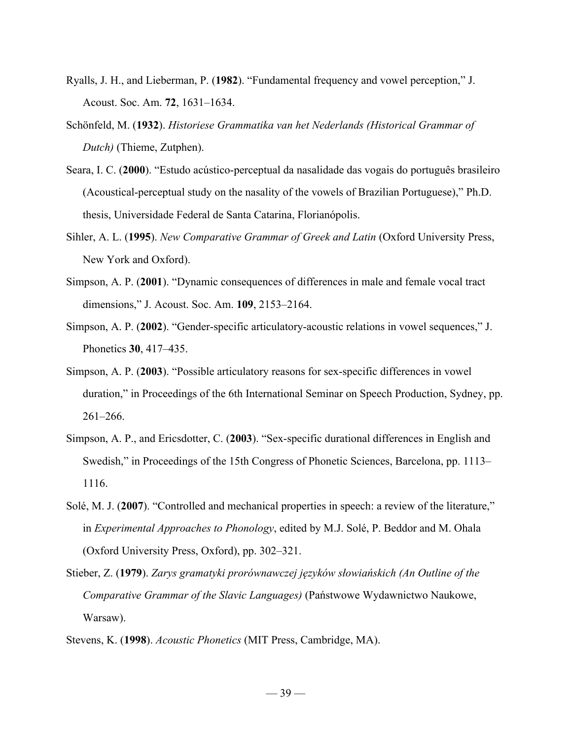- Ryalls, J. H., and Lieberman, P. (**1982**). "Fundamental frequency and vowel perception," J. Acoust. Soc. Am. **72**, 1631–1634.
- Schönfeld, M. (**1932**). *Historiese Grammatika van het Nederlands (Historical Grammar of Dutch)* (Thieme, Zutphen).
- Seara, I. C. (**2000**). "Estudo acústico-perceptual da nasalidade das vogais do português brasileiro (Acoustical-perceptual study on the nasality of the vowels of Brazilian Portuguese)," Ph.D. thesis, Universidade Federal de Santa Catarina, Florianópolis.
- Sihler, A. L. (**1995**). *New Comparative Grammar of Greek and Latin* (Oxford University Press, New York and Oxford).
- Simpson, A. P. (**2001**). "Dynamic consequences of differences in male and female vocal tract dimensions," J. Acoust. Soc. Am. **109**, 2153–2164.
- Simpson, A. P. (**2002**). "Gender-specific articulatory-acoustic relations in vowel sequences," J. Phonetics **30**, 417–435.
- Simpson, A. P. (**2003**). "Possible articulatory reasons for sex-specific differences in vowel duration," in Proceedings of the 6th International Seminar on Speech Production, Sydney, pp. 261–266.
- Simpson, A. P., and Ericsdotter, C. (**2003**). "Sex-specific durational differences in English and Swedish," in Proceedings of the 15th Congress of Phonetic Sciences, Barcelona, pp. 1113– 1116.
- Solé, M. J. (**2007**). "Controlled and mechanical properties in speech: a review of the literature," in *Experimental Approaches to Phonology*, edited by M.J. Solé, P. Beddor and M. Ohala (Oxford University Press, Oxford), pp. 302–321.
- Stieber, Z. (**1979**). *Zarys gramatyki prorównawczej języków słowiańskich (An Outline of the Comparative Grammar of the Slavic Languages)* (Państwowe Wydawnictwo Naukowe, Warsaw).
- Stevens, K. (**1998**). *Acoustic Phonetics* (MIT Press, Cambridge, MA).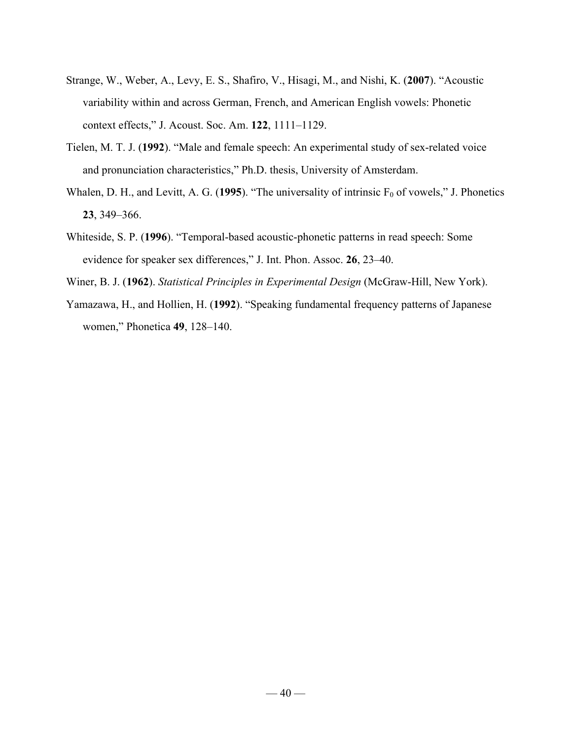- Strange, W., Weber, A., Levy, E. S., Shafiro, V., Hisagi, M., and Nishi, K. (**2007**). "Acoustic variability within and across German, French, and American English vowels: Phonetic context effects," J. Acoust. Soc. Am. **122**, 1111–1129.
- Tielen, M. T. J. (**1992**). "Male and female speech: An experimental study of sex-related voice and pronunciation characteristics," Ph.D. thesis, University of Amsterdam.
- Whalen, D. H., and Levitt, A. G. (1995). "The universality of intrinsic  $F_0$  of vowels," J. Phonetics **23**, 349–366.
- Whiteside, S. P. (**1996**). "Temporal-based acoustic-phonetic patterns in read speech: Some evidence for speaker sex differences," J. Int. Phon. Assoc. **26**, 23–40.

Winer, B. J. (**1962**). *Statistical Principles in Experimental Design* (McGraw-Hill, New York).

Yamazawa, H., and Hollien, H. (**1992**). "Speaking fundamental frequency patterns of Japanese women," Phonetica **49**, 128–140.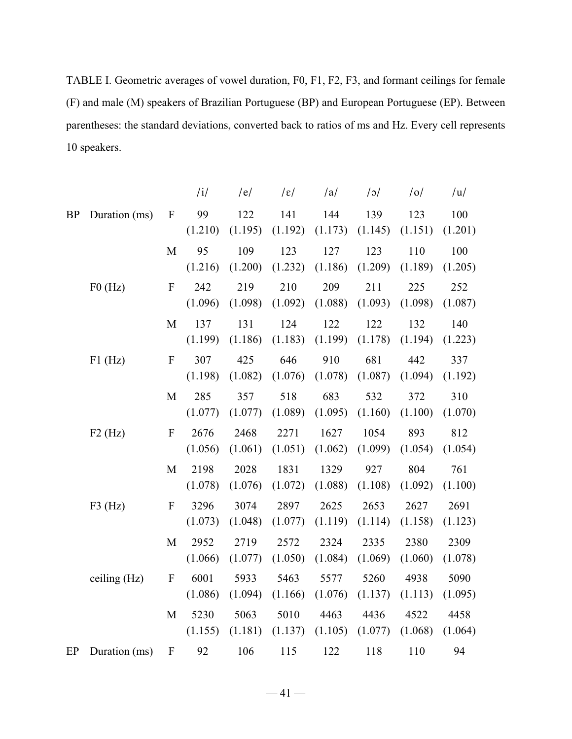TABLE I. Geometric averages of vowel duration, F0, F1, F2, F3, and formant ceilings for female (F) and male (M) speakers of Brazilian Portuguese (BP) and European Portuguese (EP). Between parentheses: the standard deviations, converted back to ratios of ms and Hz. Every cell represents 10 speakers.

|    |               |                           | /i/             | /e/             | $\sqrt{\varepsilon}/$ | /a/             | o               | o               | /u/             |
|----|---------------|---------------------------|-----------------|-----------------|-----------------------|-----------------|-----------------|-----------------|-----------------|
| BP | Duration (ms) | $\boldsymbol{\mathrm{F}}$ | 99<br>(1.210)   | 122<br>(1.195)  | 141<br>(1.192)        | 144<br>(1.173)  | 139<br>(1.145)  | 123<br>(1.151)  | 100<br>(1.201)  |
|    |               | M                         | 95<br>(1.216)   | 109<br>(1.200)  | 123<br>(1.232)        | 127<br>(1.186)  | 123<br>(1.209)  | 110<br>(1.189)  | 100<br>(1.205)  |
|    | $F0$ (Hz)     | $\boldsymbol{\mathrm{F}}$ | 242<br>(1.096)  | 219<br>(1.098)  | 210<br>(1.092)        | 209<br>(1.088)  | 211<br>(1.093)  | 225<br>(1.098)  | 252<br>(1.087)  |
|    |               | M                         | 137<br>(1.199)  | 131<br>(1.186)  | 124<br>(1.183)        | 122<br>(1.199)  | 122<br>(1.178)  | 132<br>(1.194)  | 140<br>(1.223)  |
|    | $F1$ (Hz)     | $\boldsymbol{\mathrm{F}}$ | 307<br>(1.198)  | 425<br>(1.082)  | 646<br>(1.076)        | 910<br>(1.078)  | 681<br>(1.087)  | 442<br>(1.094)  | 337<br>(1.192)  |
|    |               | M                         | 285<br>(1.077)  | 357<br>(1.077)  | 518<br>(1.089)        | 683<br>(1.095)  | 532<br>(1.160)  | 372<br>(1.100)  | 310<br>(1.070)  |
|    | $F2$ (Hz)     | $\boldsymbol{\mathrm{F}}$ | 2676<br>(1.056) | 2468<br>(1.061) | 2271<br>(1.051)       | 1627<br>(1.062) | 1054<br>(1.099) | 893<br>(1.054)  | 812<br>(1.054)  |
|    |               | M                         | 2198<br>(1.078) | 2028<br>(1.076) | 1831<br>(1.072)       | 1329<br>(1.088) | 927<br>(1.108)  | 804<br>(1.092)  | 761<br>(1.100)  |
|    | F3(Hz)        | $\boldsymbol{F}$          | 3296<br>(1.073) | 3074<br>(1.048) | 2897<br>(1.077)       | 2625<br>(1.119) | 2653<br>(1.114) | 2627<br>(1.158) | 2691<br>(1.123) |
|    |               | M                         | 2952<br>(1.066) | 2719<br>(1.077) | 2572<br>(1.050)       | 2324<br>(1.084) | 2335<br>(1.069) | 2380<br>(1.060) | 2309<br>(1.078) |
|    | ceiling (Hz)  | $\boldsymbol{\mathrm{F}}$ | 6001<br>(1.086) | 5933<br>(1.094) | 5463<br>(1.166)       | 5577<br>(1.076) | 5260<br>(1.137) | 4938<br>(1.113) | 5090<br>(1.095) |
|    |               | M                         | 5230<br>(1.155) | 5063<br>(1.181) | 5010<br>(1.137)       | 4463<br>(1.105) | 4436<br>(1.077) | 4522<br>(1.068) | 4458<br>(1.064) |
| EP | Duration (ms) | $\boldsymbol{F}$          | 92              | 106             | 115                   | 122             | 118             | 110             | 94              |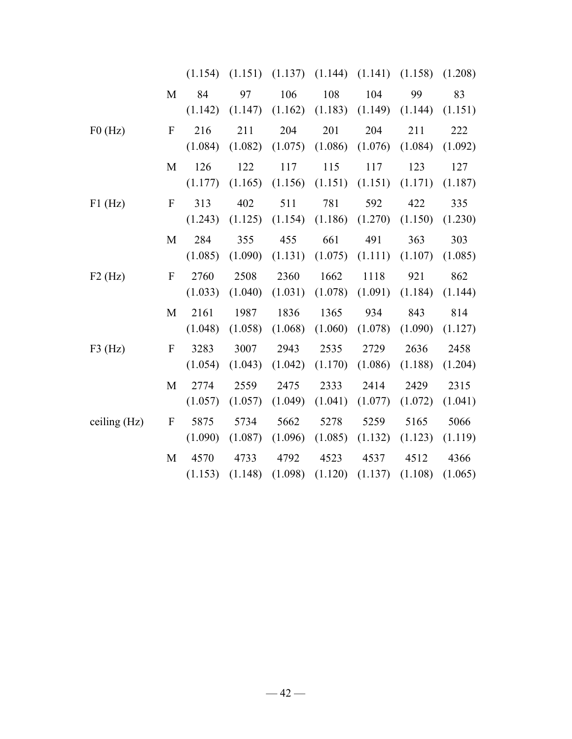|              |                           |                 |                 |                 |                 |                            | $(1.154)$ $(1.151)$ $(1.137)$ $(1.144)$ $(1.141)$ $(1.158)$ | (1.208)         |
|--------------|---------------------------|-----------------|-----------------|-----------------|-----------------|----------------------------|-------------------------------------------------------------|-----------------|
|              | M                         | 84<br>(1.142)   | 97<br>(1.147)   | 106<br>(1.162)  | 108             | 104<br>$(1.183)$ $(1.149)$ | 99<br>(1.144)                                               | 83<br>(1.151)   |
| $F0$ (Hz)    | $\boldsymbol{\mathrm{F}}$ | 216<br>(1.084)  | 211<br>(1.082)  | 204<br>(1.075)  | 201<br>(1.086)  | 204<br>(1.076)             | 211<br>(1.084)                                              | 222<br>(1.092)  |
|              | M                         | 126<br>(1.177)  | 122<br>(1.165)  | 117<br>(1.156)  | 115<br>(1.151)  | 117<br>(1.151)             | 123<br>(1.171)                                              | 127<br>(1.187)  |
| $F1$ (Hz)    | $\boldsymbol{\mathrm{F}}$ | 313<br>(1.243)  | 402<br>(1.125)  | 511<br>(1.154)  | 781<br>(1.186)  | 592<br>(1.270)             | 422<br>(1.150)                                              | 335<br>(1.230)  |
|              | M                         | 284<br>(1.085)  | 355<br>(1.090)  | 455<br>(1.131)  | 661             | 491<br>$(1.075)$ $(1.111)$ | 363<br>(1.107)                                              | 303<br>(1.085)  |
| $F2$ (Hz)    | $\boldsymbol{\mathrm{F}}$ | 2760<br>(1.033) | 2508<br>(1.040) | 2360<br>(1.031) | 1662<br>(1.078) | 1118<br>(1.091)            | 921<br>(1.184)                                              | 862<br>(1.144)  |
|              | M                         | 2161<br>(1.048) | 1987<br>(1.058) | 1836<br>(1.068) | 1365<br>(1.060) | 934<br>(1.078)             | 843<br>(1.090)                                              | 814<br>(1.127)  |
| F3(Hz)       | $\mathbf{F}$              | 3283<br>(1.054) | 3007<br>(1.043) | 2943<br>(1.042) | 2535<br>(1.170) | 2729<br>(1.086)            | 2636<br>(1.188)                                             | 2458<br>(1.204) |
|              | M                         | 2774<br>(1.057) | 2559<br>(1.057) | 2475<br>(1.049) | 2333<br>(1.041) | 2414<br>(1.077)            | 2429<br>(1.072)                                             | 2315<br>(1.041) |
| ceiling (Hz) | $\boldsymbol{\mathrm{F}}$ | 5875<br>(1.090) | 5734<br>(1.087) | 5662<br>(1.096) | 5278<br>(1.085) | 5259<br>(1.132)            | 5165<br>(1.123)                                             | 5066<br>(1.119) |
|              | M                         | 4570<br>(1.153) | 4733<br>(1.148) | 4792<br>(1.098) | 4523<br>(1.120) | 4537<br>(1.137)            | 4512<br>(1.108)                                             | 4366<br>(1.065) |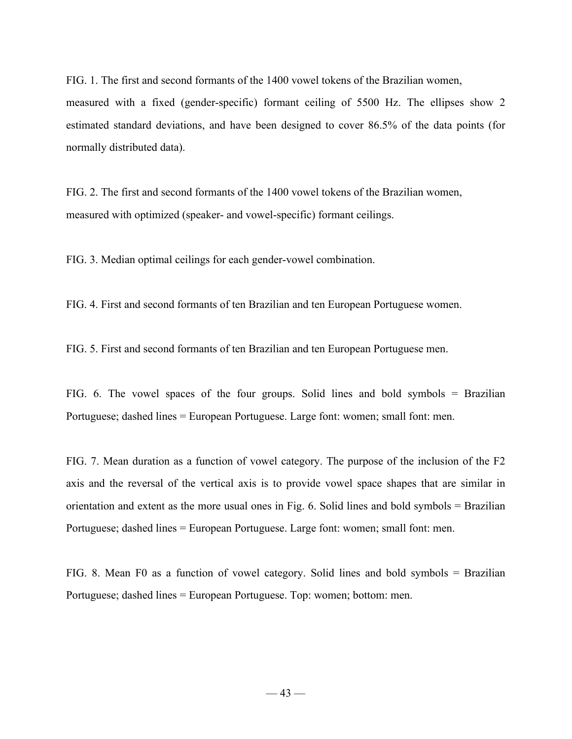FIG. 1. The first and second formants of the 1400 vowel tokens of the Brazilian women, measured with a fixed (gender-specific) formant ceiling of 5500 Hz. The ellipses show 2 estimated standard deviations, and have been designed to cover 86.5% of the data points (for normally distributed data).

FIG. 2. The first and second formants of the 1400 vowel tokens of the Brazilian women, measured with optimized (speaker- and vowel-specific) formant ceilings.

FIG. 3. Median optimal ceilings for each gender-vowel combination.

FIG. 4. First and second formants of ten Brazilian and ten European Portuguese women.

FIG. 5. First and second formants of ten Brazilian and ten European Portuguese men.

FIG. 6. The vowel spaces of the four groups. Solid lines and bold symbols = Brazilian Portuguese; dashed lines = European Portuguese. Large font: women; small font: men.

FIG. 7. Mean duration as a function of vowel category. The purpose of the inclusion of the F2 axis and the reversal of the vertical axis is to provide vowel space shapes that are similar in orientation and extent as the more usual ones in Fig. 6. Solid lines and bold symbols = Brazilian Portuguese; dashed lines = European Portuguese. Large font: women; small font: men.

FIG. 8. Mean F0 as a function of vowel category. Solid lines and bold symbols = Brazilian Portuguese; dashed lines = European Portuguese. Top: women; bottom: men.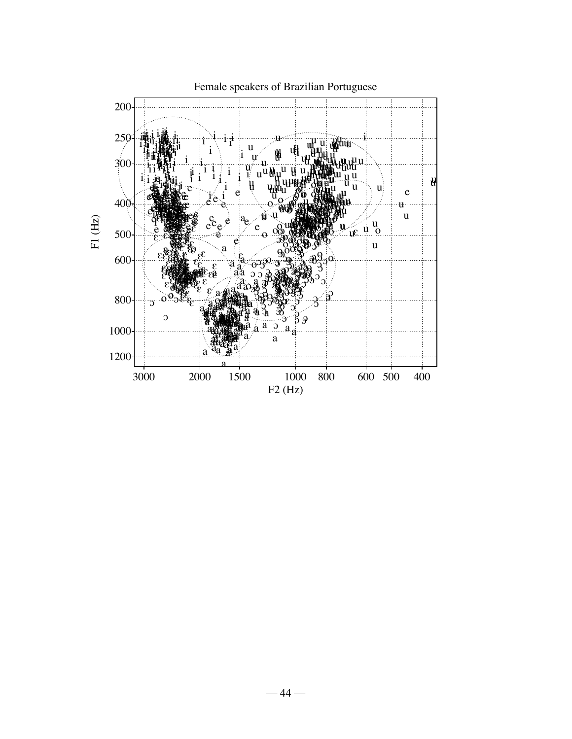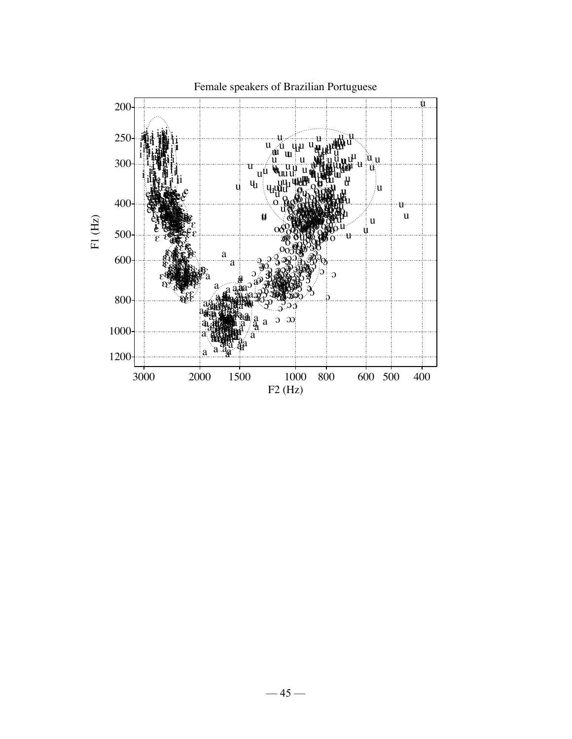

# Female speakers of Brazilian Portuguese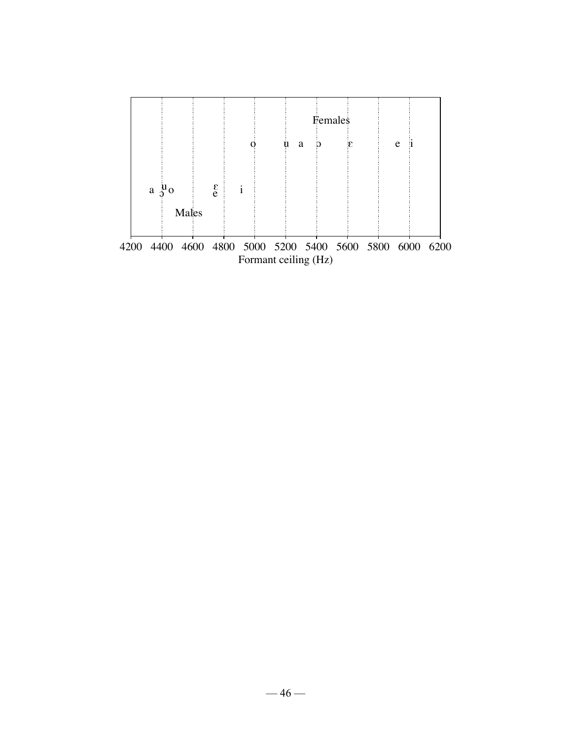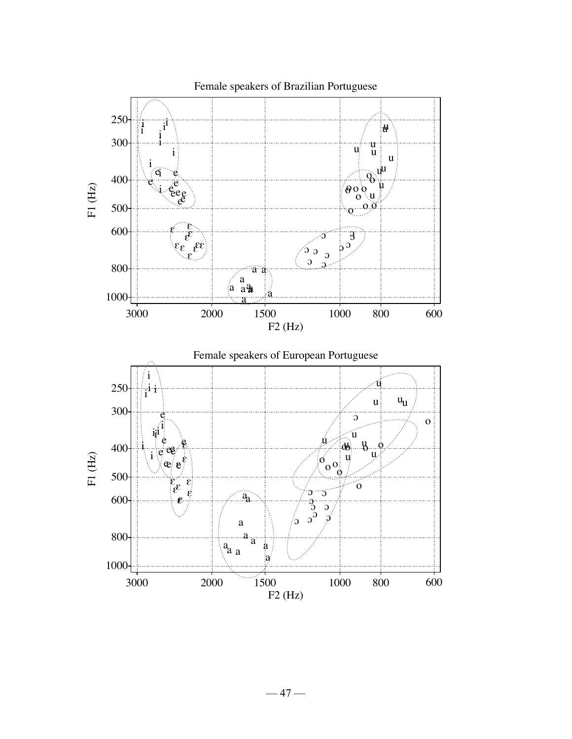

Female speakers of Brazilian Portuguese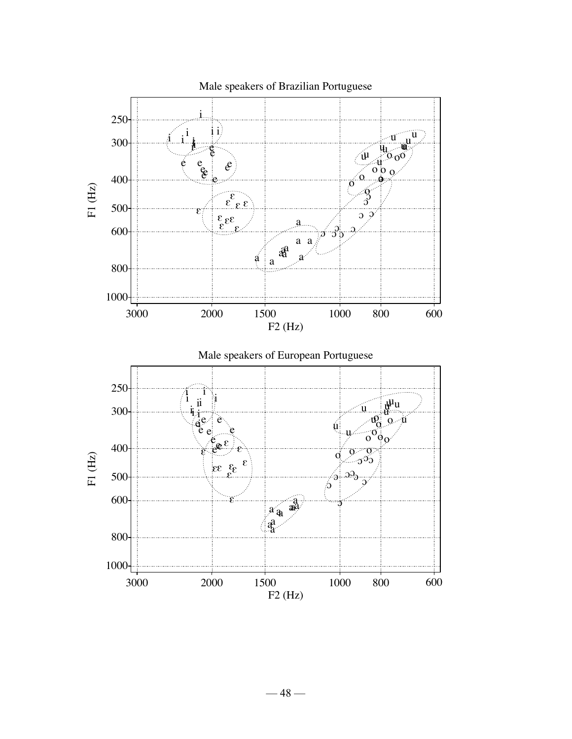

## Male speakers of Brazilian Portuguese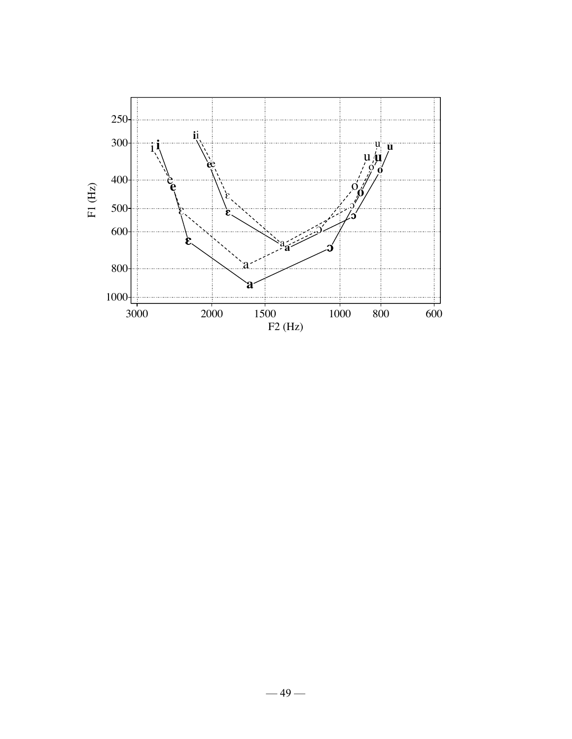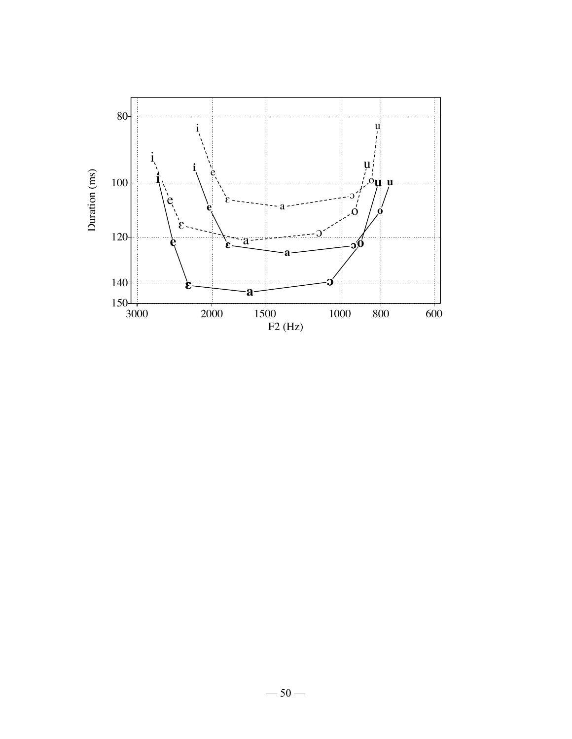